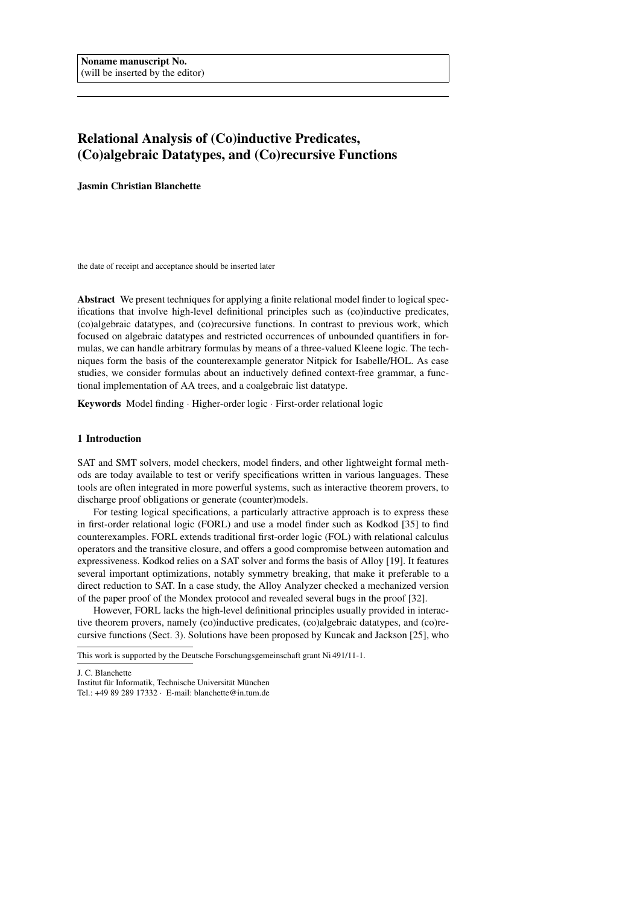# Relational Analysis of (Co)inductive Predicates, (Co)algebraic Datatypes, and (Co)recursive Functions

Jasmin Christian Blanchette

the date of receipt and acceptance should be inserted later

Abstract We present techniques for applying a finite relational model finder to logical specifications that involve high-level definitional principles such as (co)inductive predicates, (co)algebraic datatypes, and (co)recursive functions. In contrast to previous work, which focused on algebraic datatypes and restricted occurrences of unbounded quantifiers in formulas, we can handle arbitrary formulas by means of a three-valued Kleene logic. The techniques form the basis of the counterexample generator Nitpick for Isabelle/HOL. As case studies, we consider formulas about an inductively defined context-free grammar, a functional implementation of AA trees, and a coalgebraic list datatype.

Keywords Model finding · Higher-order logic · First-order relational logic

## 1 Introduction

SAT and SMT solvers, model checkers, model finders, and other lightweight formal methods are today available to test or verify specifications written in various languages. These tools are often integrated in more powerful systems, such as interactive theorem provers, to discharge proof obligations or generate (counter)models.

For testing logical specifications, a particularly attractive approach is to express these in first-order relational logic (FORL) and use a model finder such as Kodkod [35] to find counterexamples. FORL extends traditional first-order logic (FOL) with relational calculus operators and the transitive closure, and offers a good compromise between automation and expressiveness. Kodkod relies on a SAT solver and forms the basis of Alloy [19]. It features several important optimizations, notably symmetry breaking, that make it preferable to a direct reduction to SAT. In a case study, the Alloy Analyzer checked a mechanized version of the paper proof of the Mondex protocol and revealed several bugs in the proof [32].

However, FORL lacks the high-level definitional principles usually provided in interactive theorem provers, namely (co)inductive predicates, (co)algebraic datatypes, and (co)recursive functions (Sect. 3). Solutions have been proposed by Kuncak and Jackson [25], who

J. C. Blanchette

This work is supported by the Deutsche Forschungsgemeinschaft grant Ni 491/11-1.

Institut für Informatik, Technische Universität München

Tel.: +49 89 289 17332 · E-mail: blanchette@in.tum.de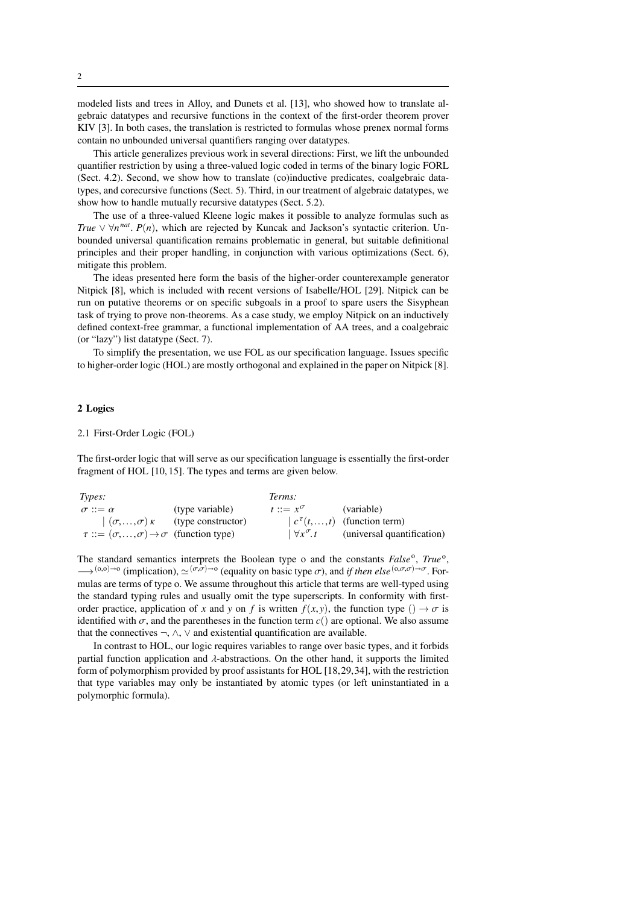modeled lists and trees in Alloy, and Dunets et al. [13], who showed how to translate algebraic datatypes and recursive functions in the context of the first-order theorem prover KIV [3]. In both cases, the translation is restricted to formulas whose prenex normal forms contain no unbounded universal quantifiers ranging over datatypes.

This article generalizes previous work in several directions: First, we lift the unbounded quantifier restriction by using a three-valued logic coded in terms of the binary logic FORL (Sect. 4.2). Second, we show how to translate (co)inductive predicates, coalgebraic datatypes, and corecursive functions (Sect. 5). Third, in our treatment of algebraic datatypes, we show how to handle mutually recursive datatypes (Sect. 5.2).

The use of a three-valued Kleene logic makes it possible to analyze formulas such as *True*  $\vee \forall n^{nat}$ . *P*(*n*), which are rejected by Kuncak and Jackson's syntactic criterion. Un-<br>hounded universal quantification remains problematic in general, but suitable definitional bounded universal quantification remains problematic in general, but suitable definitional principles and their proper handling, in conjunction with various optimizations (Sect. 6), mitigate this problem.

The ideas presented here form the basis of the higher-order counterexample generator Nitpick [8], which is included with recent versions of Isabelle/HOL [29]. Nitpick can be run on putative theorems or on specific subgoals in a proof to spare users the Sisyphean task of trying to prove non-theorems. As a case study, we employ Nitpick on an inductively defined context-free grammar, a functional implementation of AA trees, and a coalgebraic (or "lazy") list datatype (Sect. 7).

To simplify the presentation, we use FOL as our specification language. Issues specific to higher-order logic (HOL) are mostly orthogonal and explained in the paper on Nitpick [8].

## 2 Logics

## 2.1 First-Order Logic (FOL)

The first-order logic that will serve as our specification language is essentially the first-order fragment of HOL [10, 15]. The types and terms are given below.

| Types:                                                           |                                                  | Terms:                  |                                               |
|------------------------------------------------------------------|--------------------------------------------------|-------------------------|-----------------------------------------------|
| $\sigma ::= \alpha$                                              | (type variable)                                  | $t ::= x^{\sigma}$      | (variable)                                    |
|                                                                  | $((\sigma, , \sigma) \kappa)$ (type constructor) |                         | $\mid c^{\tau}(t, \ldots, t)$ (function term) |
| $\tau ::= (\sigma, , \sigma) \rightarrow \sigma$ (function type) |                                                  | $\forall x^{\sigma}$ .t | (universal quantification)                    |
|                                                                  |                                                  |                         |                                               |

The standard semantics interprets the Boolean type o and the constants False<sup>o</sup>, True<sup>o</sup>,  $→$ <sup>(0,0)→0</sup> (implication),  $\simeq$ <sup>(σ,σ)→0</sup> (equality on basic type σ), and *if then else*<sup>(0,σ,σ)→σ. For-<br>mulas are terms of type ο We assume throughout this article that terms are well-typed using</sup> mulas are terms of type o. We assume throughout this article that terms are well-typed using the standard typing rules and usually omit the type superscripts. In conformity with firstorder practice, application of *x* and *y* on *f* is written  $f(x, y)$ , the function type ()  $\rightarrow \sigma$  is identified with  $\sigma$ , and the parentheses in the function term  $c()$  are optional. We also assume that the connectives  $\neg$ ,  $\wedge$ ,  $\vee$  and existential quantification are available.

In contrast to HOL, our logic requires variables to range over basic types, and it forbids partial function application and λ-abstractions. On the other hand, it supports the limited form of polymorphism provided by proof assistants for HOL [18,29,34], with the restriction that type variables may only be instantiated by atomic types (or left uninstantiated in a polymorphic formula).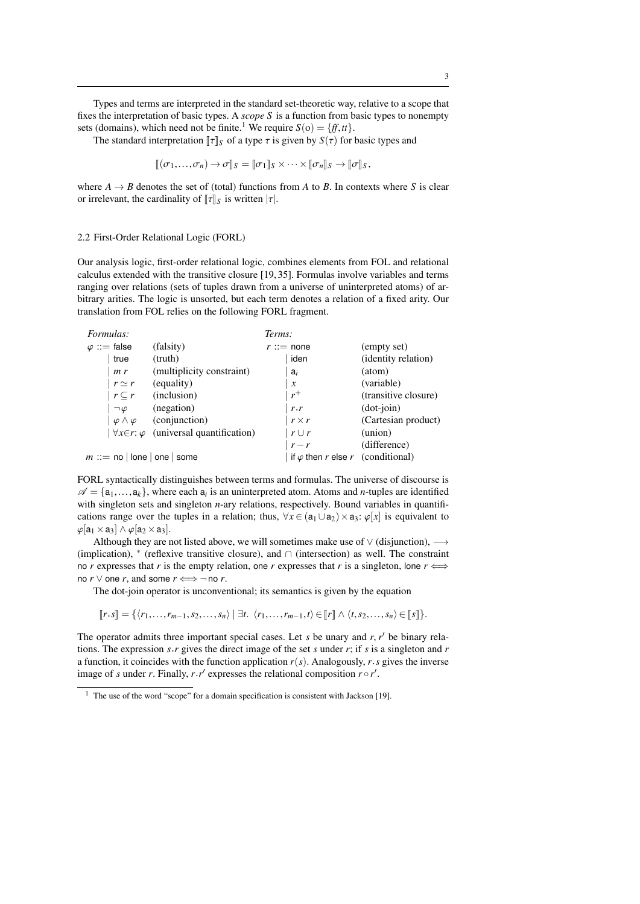Types and terms are interpreted in the standard set-theoretic way, relative to a scope that fixes the interpretation of basic types. A *scope S* is a function from basic types to nonempty sets (domains), which need not be finite.<sup>1</sup> We require  $S(0) = \{ff, tt\}$ .

The standard interpretation  $\llbracket \tau \rrbracket_S$  of a type  $\tau$  is given by  $S(\tau)$  for basic types and

$$
[\![ (\sigma_1,\ldots,\sigma_n)\to\sigma]\!]_S=[\![\sigma_1]\!]_S\times\cdots\times[\![\sigma_n]\!]_S\to[\![\sigma]\!]_S,
$$

where  $A \rightarrow B$  denotes the set of (total) functions from A to B. In contexts where S is clear or irrelevant, the cardinality of  $\llbracket \tau \rrbracket_S$  is written  $|\tau|$ .

#### 2.2 First-Order Relational Logic (FORL)

Our analysis logic, first-order relational logic, combines elements from FOL and relational calculus extended with the transitive closure [19, 35]. Formulas involve variables and terms ranging over relations (sets of tuples drawn from a universe of uninterpreted atoms) of arbitrary arities. The logic is unsorted, but each term denotes a relation of a fixed arity. Our translation from FOL relies on the following FORL fragment.

| Formulas:                      |                                                       | Terms:                                   |                              |
|--------------------------------|-------------------------------------------------------|------------------------------------------|------------------------------|
| $\varphi ::=$ false            | (falsity)                                             | $r ::=$ none                             | (empty set)                  |
| true                           | (truth)                                               | iden                                     | ( <i>identity relation</i> ) |
| m r                            | (multiplicity constraint)                             | $a_i$                                    | (atom)                       |
| $r \simeq r$                   | (equality)                                            | $\boldsymbol{x}$                         | (variable)                   |
| $r\subset r$                   | (inclusion)                                           | $r^+$                                    | (transitive closure)         |
| $\neg \varphi$                 | (negation)                                            | r.r                                      | $(dot-join)$                 |
| $\varphi \wedge \varphi$       | (conjunction)                                         | $r \times r$                             | (Cartesian product)          |
|                                | $\forall x \in r: \varphi$ (universal quantification) | $r \cup r$                               | (union)                      |
|                                |                                                       | $r - r$                                  | (difference)                 |
| $m ::=$ no   lone   one   some |                                                       | if $\varphi$ then r else r (conditional) |                              |
|                                |                                                       |                                          |                              |

FORL syntactically distinguishes between terms and formulas. The universe of discourse is  $\mathscr{A} = {\mathfrak{a}_1, \ldots, \mathfrak{a}_k}$ , where each  $\mathfrak{a}_i$  is an uninterpreted atom. Atoms and *n*-tuples are identified with singleton sets and singleton *n*-ary relations respectively. Bound variables in quantifiwith singleton sets and singleton *n*-ary relations, respectively. Bound variables in quantifications range over the tuples in a relation; thus,  $\forall x \in (a_1 \cup a_2) \times a_3$ :  $\varphi[x]$  is equivalent to  $\varphi$ [a<sub>1</sub> × a<sub>3</sub>]  $\wedge \varphi$ [a<sub>2</sub> × a<sub>3</sub>].

Although they are not listed above, we will sometimes make use of  $\vee$  (disjunction),  $\longrightarrow$ (implication), <sup>∗</sup> (reflexive transitive closure), and ∩ (intersection) as well. The constraint no *r* expresses that *r* is the empty relation, one *r* expresses that *r* is a singleton, lone  $r \iff$ no  $r \vee$  one  $r$ , and some  $r \Longleftrightarrow \neg$  no  $r$ .

The dot-join operator is unconventional; its semantics is given by the equation

 $\llbracket r \cdot s \rrbracket = \{ \langle r_1, \ldots, r_{m-1}, s_2, \ldots, s_n \rangle \mid \exists t. \langle r_1, \ldots, r_{m-1}, t \rangle \in \llbracket r \rrbracket \wedge \langle t, s_2, \ldots, s_n \rangle \in \llbracket s \rrbracket \}.$ 

The operator admits three important special cases. Let *s* be unary and *r*,  $r'$  be binary rela-<br>tions. The expression *s r* gives the direct image of the set *s* under *r*; if *s* is a singleton and *r* tions. The expression *s*.*r* gives the direct image of the set *s* under *r*; if *s* is a singleton and *r* a function, it coincides with the function application  $r(s)$ . Analogously,  $r.s$  gives the inverse image of *s* under *r*. Finally,  $r \cdot r'$  expresses the relational composition  $r \circ r'$ .

 $1$  The use of the word "scope" for a domain specification is consistent with Jackson [19].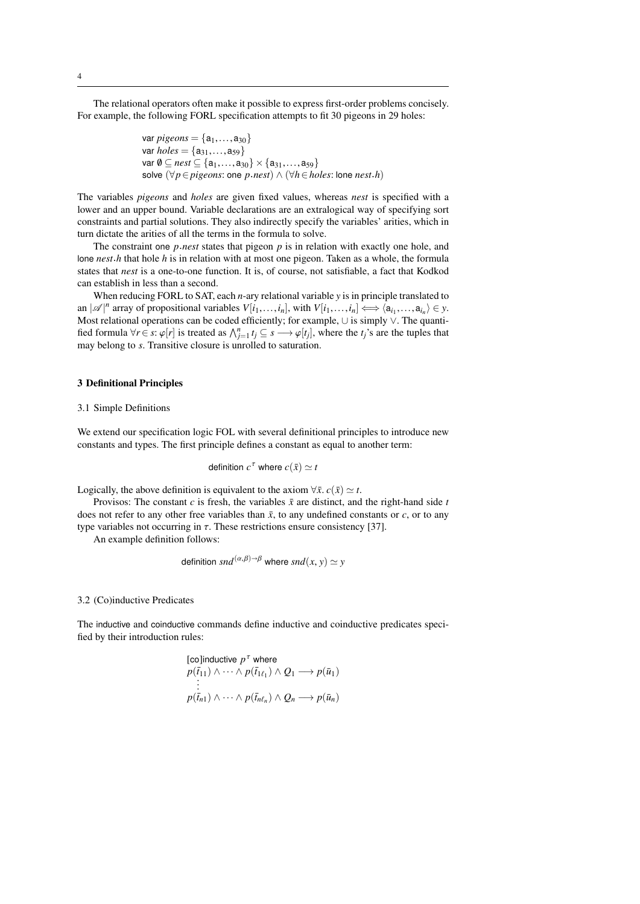The relational operators often make it possible to express first-order problems concisely. For example, the following FORL specification attempts to fit 30 pigeons in 29 holes:

> var *pigeons* = { $a_1, ..., a_{30}$ } var  $holes = \{a_{31},...,a_{59}\}$  $var \emptyset ⊆ *nest* ⊆ {a<sub>1</sub>,...,a<sub>30</sub>} × {a<sub>31</sub>,...,a<sub>59</sub>}$ solve (∀*p*∈*pigeons*: one *p*.*nest*) ∧ (∀*h*∈*holes*: lone *nest*.*h*)

The variables *pigeons* and *holes* are given fixed values, whereas *nest* is specified with a lower and an upper bound. Variable declarations are an extralogical way of specifying sort constraints and partial solutions. They also indirectly specify the variables' arities, which in turn dictate the arities of all the terms in the formula to solve.

The constraint one *p*.*nest* states that pigeon *p* is in relation with exactly one hole, and lone *nest*.*h* that hole *h* is in relation with at most one pigeon. Taken as a whole, the formula states that *nest* is a one-to-one function. It is, of course, not satisfiable, a fact that Kodkod can establish in less than a second.

When reducing FORL to SAT, each *n*-ary relational variable *y* is in principle translated to an  $|\mathscr{A}|^n$  array of propositional variables  $V[i_1, \ldots, i_n]$ , with  $V[i_1, \ldots, i_n] \iff \langle a_{i_1}, \ldots, a_{i_n} \rangle \in \mathcal{Y}$ .<br>Most relational operations can be coded efficiently: for example  $|\downarrow\rangle$  is simply  $\vee$ . The quanti-Most relational operations can be coded efficiently; for example, ∪ is simply ∨. The quantified formula  $\forall r \in s$ :  $\varphi[r]$  is treated as  $\bigwedge_{j=1}^{n} t_j \subseteq s \longrightarrow \varphi[t_j]$ , where the *t<sub>j</sub>*'s are the tuples that may belong to s. Transitive closure is uprolled to saturation may belong to *s*. Transitive closure is unrolled to saturation.

## 3 Definitional Principles

#### 3.1 Simple Definitions

We extend our specification logic FOL with several definitional principles to introduce new constants and types. The first principle defines a constant as equal to another term:

definition 
$$
c^{\tau}
$$
 where  $c(\bar{x}) \simeq t$ 

Logically, the above definition is equivalent to the axiom  $\forall \bar{x}$ .  $c(\bar{x}) \simeq t$ .

Provisos: The constant  $c$  is fresh, the variables  $\bar{x}$  are distinct, and the right-hand side  $t$ does not refer to any other free variables than  $\bar{x}$ , to any undefined constants or *c*, or to any type variables not occurring in  $\tau$ . These restrictions ensure consistency [37].

An example definition follows:

definition 
$$
snd^{(\alpha,\beta)\to\beta}
$$
 where  $snd(x, y) \simeq y$ 

3.2 (Co)inductive Predicates

The inductive and coinductive commands define inductive and coinductive predicates specified by their introduction rules:

[colinductive 
$$
p^{\tau}
$$
 where  
\n $p(\bar{t}_{11}) \wedge \cdots \wedge p(\bar{t}_{1\ell_1}) \wedge Q_1 \longrightarrow p(\bar{u}_1)$   
\n:  
\n $\vdots$   
\n $p(\bar{t}_{n1}) \wedge \cdots \wedge p(\bar{t}_{n\ell_n}) \wedge Q_n \longrightarrow p(\bar{u}_n)$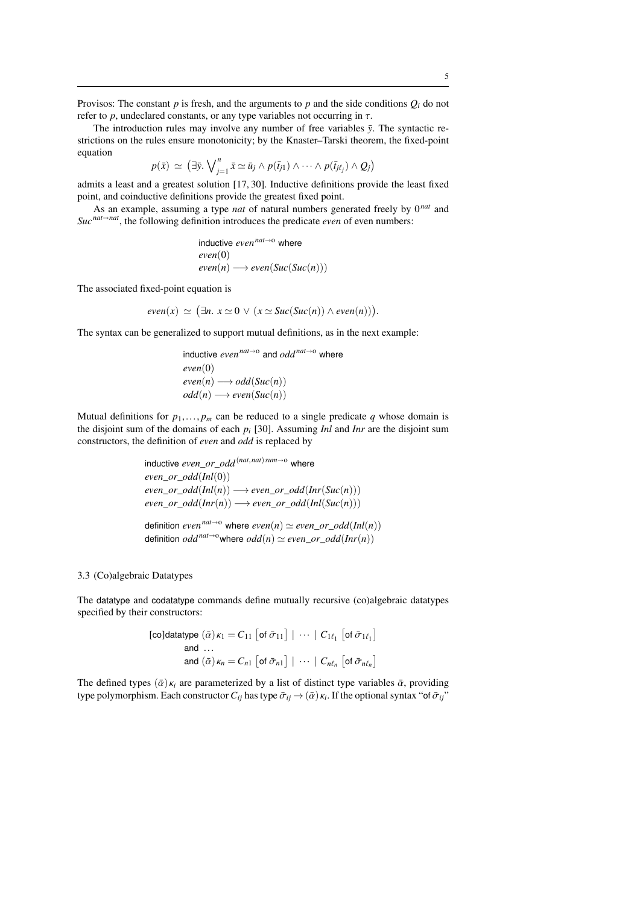Provisos: The constant  $p$  is fresh, and the arguments to  $p$  and the side conditions  $Q_i$  do not refer to  $p$ , undeclared constants, or any type variables not occurring in  $\tau$ .

The introduction rules may involve any number of free variables  $\bar{y}$ . The syntactic restrictions on the rules ensure monotonicity; by the Knaster–Tarski theorem, the fixed-point equation

 $p(\bar{x}) \simeq (\exists \bar{y}. \bigvee_{j=1}^{n} \bar{x} \simeq \bar{u}_j \wedge p(\bar{t}_{j1}) \wedge \cdots \wedge p(\bar{t}_{j\ell_j}) \wedge Q_j)$ 

admits a least and a greatest solution [17, 30]. Inductive definitions provide the least fixed point, and coinductive definitions provide the greatest fixed point.

As an example, assuming a type *nat* of natural numbers generated freely by 0*nat* and  $Suc^{nat \rightarrow nat}$ , the following definition introduces the predicate *even* of even numbers:

inductive even<sup>nat→o</sup> where  
even(0)  
even(n) 
$$
\longrightarrow
$$
 even(Suc(Suc(n)))

The associated fixed-point equation is

$$
even(x) \simeq (\exists n. \ x \simeq 0 \ \lor \ (x \simeq Succ(Suc(n)) \land even(n)))
$$

The syntax can be generalized to support mutual definitions, as in the next example:

inductive *even*<sup>nat→o</sup> and *odd*<sup>nat→o</sup> where  
even(0)  
even(n) 
$$
\longrightarrow
$$
 odd(Suc(n))  
odd(n)  $\longrightarrow$  even(Suc(n))

Mutual definitions for  $p_1, \ldots, p_m$  can be reduced to a single predicate q whose domain is the disjoint sum of the domains of each *p<sup>i</sup>* [30]. Assuming *Inl* and *Inr* are the disjoint sum constructors, the definition of *even* and *odd* is replaced by

> inductive *even\_or\_odd*<sup>(*nat,nat*)*sum*→o where</sup> *even*\_*or*\_*odd*(*Inl*(0))  $even\_or\_odd(Int(n)) \longrightarrow even\_or\_odd(Int(Suc(n)))$  $even$  *or*  $odd(Inv(n)) \longrightarrow even$  *or*  $odd(Ind(Suc(n)))$ definition  $even^{nat\rightarrow o}$  where  $even(n) \simeq even\_or\_odd(Int(n))$ definition  $odd^{nat\rightarrow o}$  where  $odd(n) \simeq even\_or\_odd(Inv(n))$

## 3.3 (Co)algebraic Datatypes

The datatype and codatatype commands define mutually recursive (co)algebraic datatypes specified by their constructors:

[coldatatype 
$$
(\bar{\alpha})\kappa_1 = C_{11}
$$
 [of  $\bar{\sigma}_{11}$ ] |  $\cdots$  |  $C_{1\ell_1}$  [of  $\bar{\sigma}_{1\ell_1}$ ]  
and ...  
and  $(\bar{\alpha})\kappa_n = C_{n1}$  [of  $\bar{\sigma}_{n1}$ ] |  $\cdots$  |  $C_{n\ell_n}$  [of  $\bar{\sigma}_{n\ell_n}$ ]

The defined types  $(\bar{\alpha}) \kappa_i$  are parameterized by a list of distinct type variables  $\bar{\alpha}$ , providing type polymorphism. Each constructor  $C_{ij}$  has type  $\bar{\sigma}_{ij} \rightarrow (\bar{\alpha}) \kappa_i$ . If the optional syntax "of  $\bar{\sigma}_{ij}$ "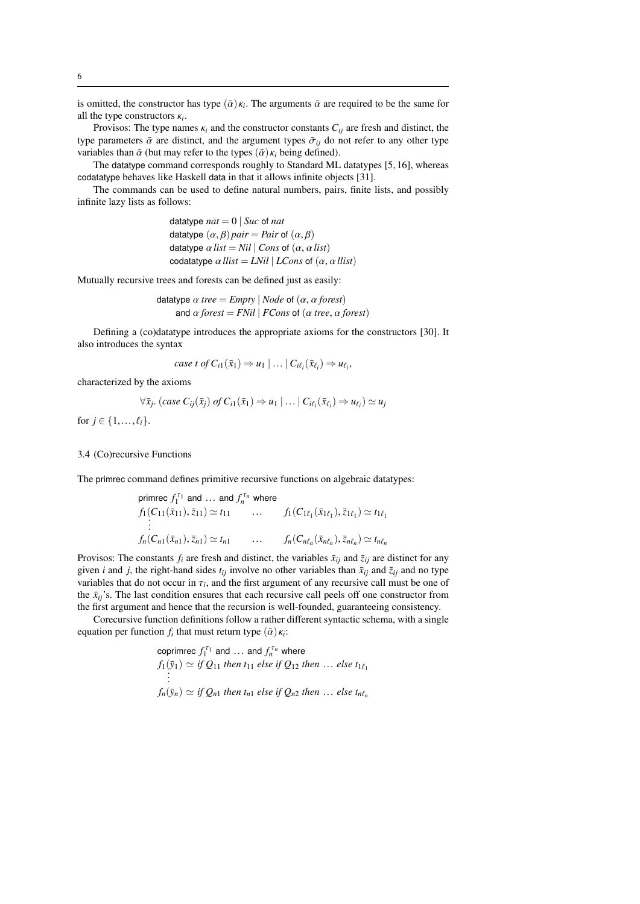is omitted, the constructor has type  $(\bar{\alpha}) \kappa_i$ . The arguments  $\bar{\alpha}$  are required to be the same for all the type constructors  $\kappa_i$ . all the type constructors  $\kappa_i$ .<br>Provisos: The type nam

Provisos: The type names  $\kappa_i$  and the constructor constants  $C_{ij}$  are fresh and distinct, the type parameters  $\bar{\alpha}$  are distinct, and the argument types  $\bar{\sigma}_{ij}$  do not refer to any other type variables than  $\bar{\alpha}$  (but may refer to the types  $(\bar{\alpha}) \kappa_i$  being defined).

The datatype command corresponds roughly to Standard ML datatypes [5, 16], whereas codatatype behaves like Haskell data in that it allows infinite objects [31].

The commands can be used to define natural numbers, pairs, finite lists, and possibly infinite lazy lists as follows:

> datatype  $nat = 0$  | *Suc* of *nat* datatype  $(\alpha, \beta)$  *pair* = *Pair* of  $(\alpha, \beta)$ datatype  $\alpha$  *list* = *Nil*  $|$  *Cons* of  $(\alpha, \alpha$  *list* $)$ codatatype  $\alpha$  *llist* = *LNil* | *LCons* of  $(\alpha, \alpha$  *llist*)

Mutually recursive trees and forests can be defined just as easily:

datatype  $\alpha$  *tree* = *Empty* | *Node* of  $(\alpha, \alpha$  *forest*) and  $\alpha$  *forest* = *FNil* | *FCons* of ( $\alpha$  *tree*,  $\alpha$  *forest*)

Defining a (co)datatype introduces the appropriate axioms for the constructors [30]. It also introduces the syntax

case *t* of 
$$
C_{i1}(\bar{x}_1) \Rightarrow u_1 \mid ... \mid C_{i\ell_i}(\bar{x}_{\ell_i}) \Rightarrow u_{\ell_i}
$$
,

characterized by the axioms

$$
\forall \bar{x}_j. \ (case \ C_{ij}(\bar{x}_j) \ of \ C_{i1}(\bar{x}_1) \Rightarrow u_1 \mid \dots \mid C_{i\ell_i}(\bar{x}_{\ell_i}) \Rightarrow u_{\ell_i}) \simeq u_j
$$

for  $j \in \{1, ..., \ell_i\}.$ 

#### 3.4 (Co)recursive Functions

The primrec command defines primitive recursive functions on algebraic datatypes:

primrec 
$$
f_1^{\tau_1}
$$
 and ... and  $f_n^{\tau_n}$  where  
\n $f_1(C_{11}(\bar{x}_{11}), \bar{z}_{11}) \simeq t_{11}$  ...  $f_1(C_{1\ell_1}(\bar{x}_{1\ell_1}), \bar{z}_{1\ell_1}) \simeq t_{1\ell_1}$   
\n:  
\n $f_n(C_{n1}(\bar{x}_{n1}), \bar{z}_{n1}) \simeq t_{n1}$  ...  $f_n(C_{n\ell_n}(\bar{x}_{n\ell_n}), \bar{z}_{n\ell_n}) \simeq t_{n\ell_n}$ 

Provisos: The constants  $f_i$  are fresh and distinct, the variables  $\bar{x}_{ij}$  and  $\bar{z}_{ij}$  are distinct for any given *i* and *j*, the right-hand sides  $t_{ij}$  involve no other variables than  $\bar{x}_{ij}$  and  $\bar{z}_{ij}$  and no type variables that do not occur in  $\tau_i$ , and the first argument of any recursive call must be one of the  $\bar{\mathbf{r}}$ . the  $\bar{x}_{ii}$ 's. The last condition ensures that each recursive call peels off one constructor from the first argument and hence that the recursion is well-founded, guaranteeing consistency.

Corecursive function definitions follow a rather different syntactic schema, with a single equation per function  $f_i$  that must return type  $(\bar{\alpha})\kappa_i$ :

conrimec 
$$
f_1^{\tau_1}
$$
 and ... and  $f_n^{\tau_n}$  where  
\n $f_1(\bar{y}_1) \simeq if Q_{11}$  then  $t_{11}$  else if  $Q_{12}$  then ... else  $t_{1\ell_1}$   
\n $\vdots$   
\n $f_n(\bar{y}_n) \simeq if Q_{n1}$  then  $t_{n1}$  else if  $Q_{n2}$  then ... else  $t_{n\ell_n}$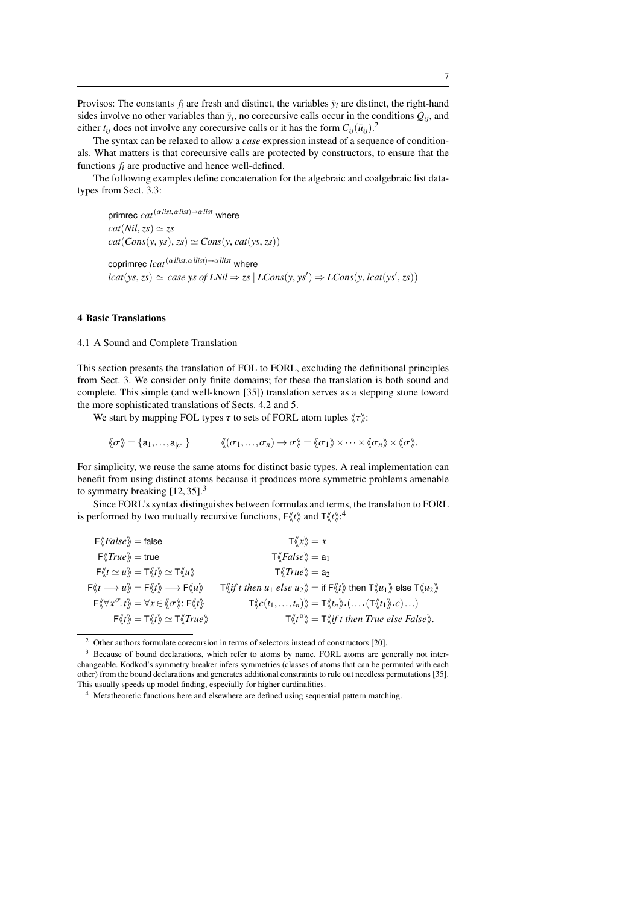Provisos: The constants  $f_i$  are fresh and distinct, the variables  $\bar{y}_i$  are distinct, the right-hand sides involve no other variables than  $\bar{y}_i$ , no corecursive calls occur in the conditions  $Q_{ij}$ , and either  $t_{ij}$  does not involve any corecursive calls or it has the form  $C_{ij}(\bar{u}_{ij})$ .

The syntax can be relaxed to allow a *case* expression instead of a sequence of conditionals. What matters is that corecursive calls are protected by constructors, to ensure that the functions  $f_i$  are productive and hence well-defined.

The following examples define concatenation for the algebraic and coalgebraic list datatypes from Sect. 3.3:

primrec  $cat^{(\alpha\,list, \alpha\,list) \rightarrow \alpha\,list}$  where  $cat(Nil, zs) \simeq zs$  $cat(Cons(y, ys), zs) \simeq Cons(y, cat(ys, zs))$ coprimrec *lcat*<sup>(α*llist*,α*llist*)→α*llist* where</sup>  $lcat(ys, zs) \simeq case \ ys \ of \ LNil \Rightarrow zs \ | \ LCons(y, ys') \Rightarrow LCons(y, lcat(ys', zs))$ 

## 4 Basic Translations

#### 4.1 A Sound and Complete Translation

This section presents the translation of FOL to FORL, excluding the definitional principles from Sect. 3. We consider only finite domains; for these the translation is both sound and complete. This simple (and well-known [35]) translation serves as a stepping stone toward the more sophisticated translations of Sects. 4.2 and 5.

We start by mapping FOL types  $\tau$  to sets of FORL atom tuples  $\langle \tau \rangle$ :

$$
\langle\!\langle \sigma\rangle\!\rangle = \{a_1,\ldots,a_{|\sigma|}\}\qquad \langle\!\langle (\sigma_1,\ldots,\sigma_n)\rightarrow \sigma\rangle\!\rangle = \langle\!\langle \sigma_1\rangle\!\rangle \times \cdots \times \langle\!\langle \sigma_n\rangle\!\rangle \times \langle \sigma\rangle\!\rangle.
$$

For simplicity, we reuse the same atoms for distinct basic types. A real implementation can benefit from using distinct atoms because it produces more symmetric problems amenable to symmetry breaking  $[12, 35]$ .<sup>3</sup>

Since FORL's syntax distinguishes between formulas and terms, the translation to FORL is performed by two mutually recursive functions,  $F\langle\!\langle t \rangle\!\rangle$  and  $T\langle\!\langle t \rangle\!\rangle$ :<sup>4</sup>

| $F\langle False \rangle = false$                                                                                                                                              | $\mathsf{T}\langle\!\langle x \rangle\!\rangle = x$                                                                                                                                                                                                                                   |
|-------------------------------------------------------------------------------------------------------------------------------------------------------------------------------|---------------------------------------------------------------------------------------------------------------------------------------------------------------------------------------------------------------------------------------------------------------------------------------|
| $F\langle True \rangle = true$                                                                                                                                                | $\mathsf{T}\langle False \rangle = \mathsf{a}_1$                                                                                                                                                                                                                                      |
| $\Gamma \langle t \simeq u \rangle = \Gamma \langle t \rangle \simeq \Gamma \langle u \rangle$                                                                                | $\mathsf{T}\langle True \rangle = \mathsf{a}_2$                                                                                                                                                                                                                                       |
| $F\langle\langle t\longrightarrow u\rangle\rangle = F\langle\langle t\rangle\rangle \longrightarrow F\langle\langle u\rangle\rangle$                                          | $\mathsf{T}\langle\!\langle \text{if } t \text{ then } u_1 \text{ else } u_2 \rangle\!\rangle = \text{if } \mathsf{F}\langle\!\langle t \rangle\!\rangle \text{ then } \mathsf{T}\langle\!\langle u_1 \rangle\!\rangle \text{ else } \mathsf{T}\langle\!\langle u_2 \rangle\!\rangle$ |
| $\mathsf{F} \langle \langle \forall x^{\sigma} \cdot t \rangle \rangle = \forall x \in \langle \langle \sigma \rangle \rangle : \mathsf{F} \langle \langle t \rangle \rangle$ | $\mathsf{T}\langle\!\langle c(t_1,\ldots,t_n)\rangle\!\rangle = \mathsf{T}\langle\!\langle t_n\rangle\!\rangle \cdot (\ldots \cdot (\mathsf{T}\langle\!\langle t_1\rangle\!\rangle \cdot c)\ldots)$                                                                                   |
| $F\langle t\rangle = T\langle t\rangle \simeq T\langle True\rangle$                                                                                                           | $\mathsf{T}\langle \langle t^{\circ}\rangle\!\rangle = \mathsf{T}\langle\!\langle t^{\circ}\rangle\!\rangle$ then True else False).                                                                                                                                                   |
|                                                                                                                                                                               |                                                                                                                                                                                                                                                                                       |

<sup>2</sup> Other authors formulate corecursion in terms of selectors instead of constructors [20].

<sup>&</sup>lt;sup>3</sup> Because of bound declarations, which refer to atoms by name, FORL atoms are generally not interchangeable. Kodkod's symmetry breaker infers symmetries (classes of atoms that can be permuted with each other) from the bound declarations and generates additional constraints to rule out needless permutations [35]. This usually speeds up model finding, especially for higher cardinalities.

<sup>4</sup> Metatheoretic functions here and elsewhere are defined using sequential pattern matching.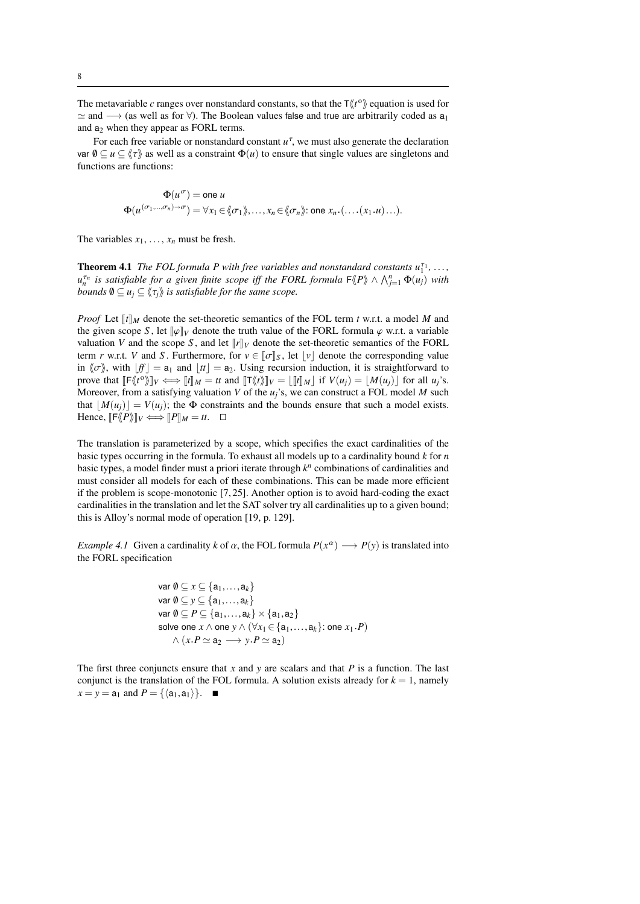The metavariable *c* ranges over nonstandard constants, so that the  $\tau \langle \langle t^{\circ} \rangle$  equation is used for  $\simeq$  and  $\rightarrow$  (as well as for  $\forall$ ). The Boolean values false and true are arbitrarily coded as a<sub>1</sub> and  $a_2$  when they appear as FORL terms.

For each free variable or nonstandard constant  $u^{\tau}$ , we must also generate the declaration var  $\emptyset \subseteq u \subseteq \langle \tau \rangle$  as well as a constraint  $\Phi(u)$  to ensure that single values are singletons and functions are functions:

$$
\Phi(u^{\sigma}) = \text{one } u
$$
  
 
$$
\Phi(u^{(\sigma_1,\ldots,\sigma_n)\to\sigma}) = \forall x_1 \in \langle\!\langle \sigma_1 \rangle\!\rangle, \ldots, x_n \in \langle\!\langle \sigma_n \rangle\!\rangle; \text{ one } x_n.(\ldots,(x_1.u)\ldots).
$$

The variables  $x_1, \ldots, x_n$  must be fresh.

**Theorem 4.1** *The FOL formula P with free variables and nonstandard constants*  $u_1^{\tau_1}, \ldots,$  $u_n^{\tau_n}$  is satisfiable for a given finite scope iff the FORL formula  $F\langle P \rangle \wedge \bigwedge_{j=1}^n \Phi(u_j)$  with *bounds*  $\emptyset \subseteq u_j \subseteq \langle\langle \tau_j \rangle\rangle$  *is satisfiable for the same scope.* 

*Proof* Let  $\llbracket t \rrbracket_M$  denote the set-theoretic semantics of the FOL term *t* w.r.t. a model *M* and the given scope *S*, let  $\llbracket \varphi \rrbracket_V$  denote the truth value of the FORL formula  $\varphi$  w.r.t. a variable valuation *V* and the scope *S*, and let  $\llbracket r \rrbracket_V$  denote the set-theoretic semantics of the FORL term *r* w.r.t. *V* and *S*. Furthermore, for  $v \in [\![\sigma]\!]_S$ , let  $[v]$  denote the corresponding value in  $\langle \sigma \rangle$ , with  $[f] = a_1$  and  $[t] = a_2$ . Using recursion induction, it is straightforward to prove that  $[\![\mathbb{F}\langle t^o \rangle]\!]_V \Longleftrightarrow [\![t]\!]_M = tt$  and  $[\![\mathbb{T}\langle t \rangle]\!]_V = [\![t]\!]_M$  if  $V(u_j) = [M(u_j)]$  for all  $u_j$ 's.<br>Moreover from a sotiofying voluption *V* of the *u*<sup>3</sup>c, we see construct a FOI model *M* such Moreover, from a satisfying valuation *V* of the *uj*'s, we can construct a FOL model *M* such that  $|M(u_i)| = V(u_i)$ ; the  $\Phi$  constraints and the bounds ensure that such a model exists. Hence,  $\llbracket \mathsf{F} \langle \! \langle P \rangle \! \rrbracket_V \Longleftrightarrow \! \llbracket P \rrbracket_M = tt. \quad \Box$ 

The translation is parameterized by a scope, which specifies the exact cardinalities of the basic types occurring in the formula. To exhaust all models up to a cardinality bound *k* for *n* basic types, a model finder must a priori iterate through *k n* combinations of cardinalities and must consider all models for each of these combinations. This can be made more efficient if the problem is scope-monotonic [7, 25]. Another option is to avoid hard-coding the exact cardinalities in the translation and let the SAT solver try all cardinalities up to a given bound; this is Alloy's normal mode of operation [19, p. 129].

*Example 4.1* Given a cardinality *k* of  $\alpha$ , the FOL formula  $P(x^{\alpha}) \longrightarrow P(y)$  is translated into the FORL specification the FORL specification

var 
$$
\emptyset \subseteq x \subseteq \{a_1,...,a_k\}
$$
  
\nvar  $\emptyset \subseteq y \subseteq \{a_1,...,a_k\}$   
\nvar  $\emptyset \subseteq P \subseteq \{a_1,...,a_k\} \times \{a_1,a_2\}$   
\nsolve one  $x \land$  one  $y \land (\forall x_1 \in \{a_1,...,a_k\}: \text{one } x_1.P)$   
\n $\land (x.P \simeq a_2 \longrightarrow y.P \simeq a_2)$ 

The first three conjuncts ensure that  $x$  and  $y$  are scalars and that  $P$  is a function. The last conjunct is the translation of the FOL formula. A solution exists already for  $k = 1$ , namely  $x = y = a_1$  and  $P = {\langle a_1, a_1 \rangle}.$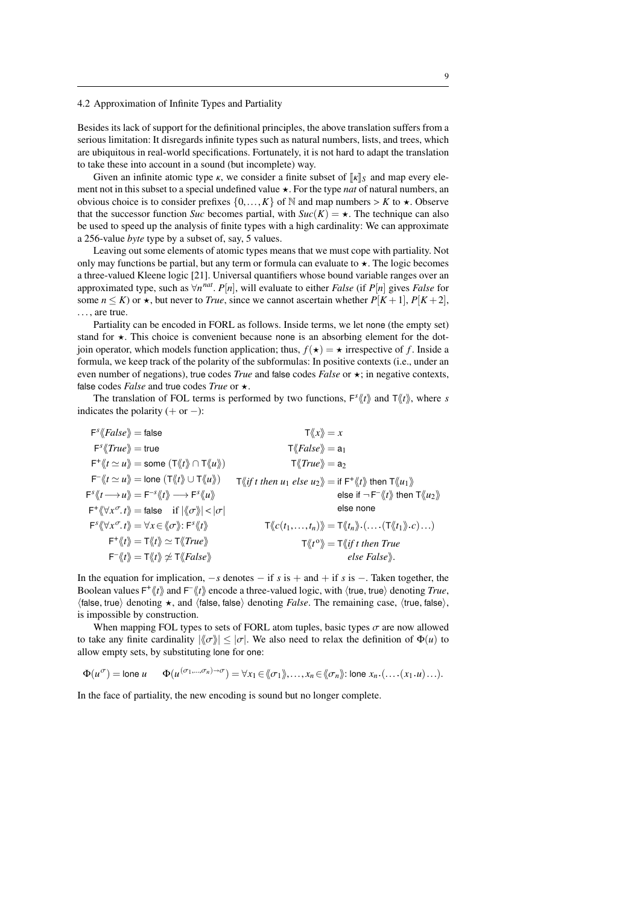#### 4.2 Approximation of Infinite Types and Partiality

Besides its lack of support for the definitional principles, the above translation suffers from a serious limitation: It disregards infinite types such as natural numbers, lists, and trees, which are ubiquitous in real-world specifications. Fortunately, it is not hard to adapt the translation to take these into account in a sound (but incomplete) way.

Given an infinite atomic type  $\kappa$ , we consider a finite subset of  $\|\kappa\|_{S}$  and map every element not in this subset to a special undefined value  $\star$ . For the type *nat* of natural numbers, an obvious choice is to consider prefixes  $\{0,\ldots,K\}$  of N and map numbers  $>K$  to  $\star$ . Observe that the successor function *Suc* becomes partial, with  $Suc(K) = \star$ . The technique can also be used to speed up the analysis of finite types with a high cardinality: We can approximate a 256-value *byte* type by a subset of, say, 5 values.

Leaving out some elements of atomic types means that we must cope with partiality. Not only may functions be partial, but any term or formula can evaluate to  $\star$ . The logic becomes a three-valued Kleene logic [21]. Universal quantifiers whose bound variable ranges over an approximated type, such as  $\forall n^{nat}$ . *P*[*n*], will evaluate to either *False* (if *P*[*n*] gives *False* for  $\forall n \neq 0$  some  $n \leq K$ ) or  $\star$  but never to *True* since we cannot ascertain whether *P*[*K* + 1]. *P*[*K* + some  $n \leq K$ ) or  $\star$ , but never to *True*, since we cannot ascertain whether  $P[K+1]$ ,  $P[K+2]$ , ..., are true.

Partiality can be encoded in FORL as follows. Inside terms, we let none (the empty set) stand for  $\star$ . This choice is convenient because none is an absorbing element for the dotjoin operator, which models function application; thus,  $f(\star) = \star$  irrespective of *f*. Inside a formula, we keep track of the polarity of the subformulas: In positive contexts (i.e., under an even number of negations), true codes *True* and false codes *False* or  $\star$ ; in negative contexts, false codes *False* and true codes *True* or  $\star$ .

The translation of FOL terms is performed by two functions,  $F^{s}\langle t \rangle$  and  $T\langle t \rangle$ , where *s* indicates the polarity  $(+ or -)$ :

$$
F^s \langle False \rangle = false
$$
\n
$$
F^s \langle True \rangle = true
$$
\n
$$
F^s \langle True \rangle = true
$$
\n
$$
F^s \langle True \rangle = true
$$
\n
$$
F^s \langle True \rangle = same (T \langle t \rangle \cap T \langle u \rangle))
$$
\n
$$
T \langle True \rangle = a_2
$$
\n
$$
F^s \langle t \rangle = \langle u \rangle = 0 \text{ne } (T \langle t \rangle \cup T \langle u \rangle)
$$
\n
$$
T \langle \langle True \rangle = a_2
$$
\n
$$
F^s \langle t \rangle = \langle u \rangle = F^{-s} \langle t \rangle \longrightarrow F^s \langle u \rangle
$$
\n
$$
F^s \langle \langle t \rangle = false
$$
\n
$$
F^s \langle \langle x \rangle = false
$$
\n
$$
F^s \langle \langle x \rangle = false
$$
\n
$$
F^s \langle \langle x \rangle = false
$$
\n
$$
F^s \langle \langle x \rangle = \langle x \rangle = 0
$$
\n
$$
F^s \langle \langle x \rangle = 0 \rangle = 0
$$
\n
$$
F^s \langle \langle x \rangle = 0 \rangle = 0
$$
\n
$$
F^s \langle \langle x \rangle = 0 \rangle = 0
$$
\n
$$
F^s \langle \langle x \rangle = 0 \rangle = 0
$$
\n
$$
F^s \langle \langle x \rangle = 0 \rangle = 0
$$
\n
$$
F^s \langle \langle x \rangle = 0 \rangle = 0
$$
\n
$$
F^s \langle \langle x \rangle = 0 \rangle = 0
$$
\n
$$
F^s \langle \langle x \rangle = 0 \rangle = 0
$$
\n
$$
F^s \langle \langle x \rangle = 0 \rangle = 0
$$
\n
$$
F^s \langle \langle x \rangle = 0 \rangle = 0
$$
\n
$$
F^s \langle \langle x \rangle = 0 \rangle = 0
$$
\n
$$
F^s \langle \langle x \rangle = 0 \rangle = 0
$$
\n
$$
F^s \langle \langle x \rangle = 0 \rangle = 0
$$
\n
$$
F^s \langle \langle x \rangle = 0 \rangle = 0
$$
\n
$$
F
$$

In the equation for implication, −*s* denotes − if *s* is + and + if *s* is −. Taken together, the Boolean values  $F^*(t)$  and  $F^*(t)$  encode a three-valued logic, with  $\langle$ true, true $\rangle$  denoting *True*,  $\langle$ truei denoting  $\star$  and  $\langle$ truei false, denoting *False*. The remaining case,  $\langle$ truei talse  $\langle$  false, true) denoting  $\star$ , and  $\langle$  false, false) denoting *False*. The remaining case,  $\langle$  true, false $\rangle$ , is impossible by construction.

When mapping FOL types to sets of FORL atom tuples, basic types  $\sigma$  are now allowed to take any finite cardinality  $|\langle \sigma \rangle| \leq |\sigma|$ . We also need to relax the definition of  $\Phi(u)$  to allow empty sets, by substituting lone for one:

$$
\Phi(u^{\sigma}) = \text{long } u \qquad \Phi(u^{(\sigma_1, \ldots, \sigma_n) \to \sigma}) = \forall x_1 \in \langle \sigma_1 \rangle, \ldots, x_n \in \langle \sigma_n \rangle \colon \text{long } x_n \cdot (\ldots (x_1 \cdot u) \ldots).
$$

In the face of partiality, the new encoding is sound but no longer complete.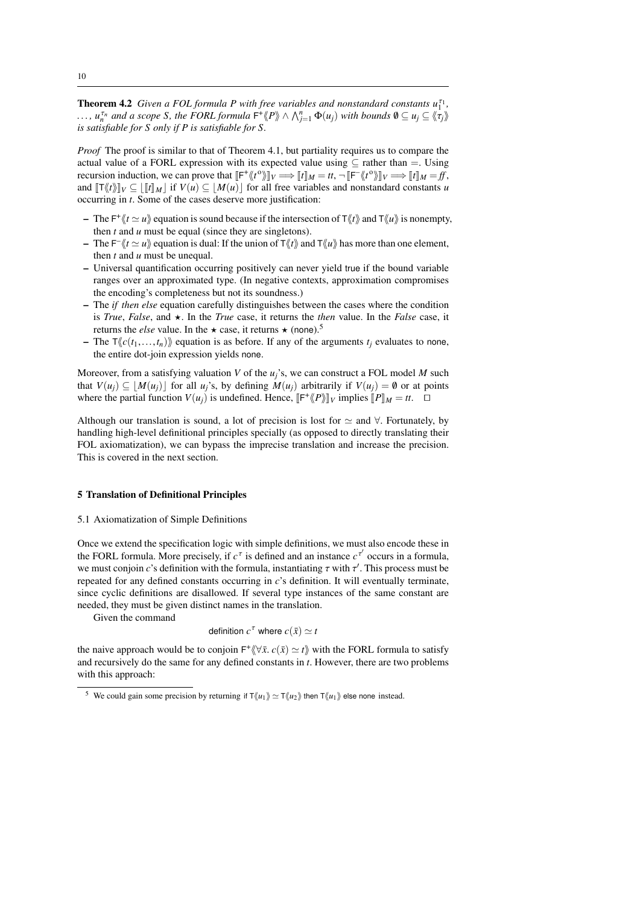**Theorem 4.2** *Given a FOL formula P with free variables and nonstandard constants*  $u_1^{\tau_1}$ ,  $\ldots$ ,  $u_n^{\tau_n}$  and a scope *S*, the FORL formula  $\mathsf{F}^+\langle\!\langle P \rangle\!\rangle \wedge \bigwedge_{j=1}^n \Phi(u_j)$  with bounds  $\emptyset \subseteq u_j \subseteq \langle\!\langle \tau_j \rangle\!\rangle$ <br>is satisfiable for *S* only if *P* is satisfiable for *S is satisfiable for S only if P is satisfiable for S.*

*Proof* The proof is similar to that of Theorem 4.1, but partiality requires us to compare the actual value of a FORL expression with its expected value using  $\subset$  rather than  $=$ . Using recursion induction, we can prove that  $\llbracket \mathsf{F}^* \llbracket t \rrbracket \llbracket \mathsf{F} \rrbracket = tt, \neg \llbracket \mathsf{F}^* \llbracket t \rrbracket \llbracket \mathsf{F} \rrbracket = \llbracket t \rrbracket \llbracket \mathsf{F} \rrbracket \llbracket t \rrbracket \rrbracket = \llbracket t \rrbracket \rrbracket = \llbracket t \rrbracket \rrbracket = \llbracket t \rrbracket \rrbracket = \llbracket t \rrbracket \rrbracket = \llbracket t \rrbracket \rrbr$ and  $[\![\top \langle \nmid t \rangle]\!]_V \subseteq [[\![t]\!]_M]$  if  $V(u) \subseteq [M(u)]$  for all free variables and nonstandard constants *u* occurring in *t*. Some of the cases deserve more justification:

- $-$  The F<sup>+</sup> $\langle t \simeq u \rangle$  equation is sound because if the intersection of T $\langle t \rangle$  and T $\langle u \rangle$  is nonempty, then *t* and *u* must be equal (since they are singletons).
- $-$  The F<sup>-</sup> $\langle t \simeq u \rangle$  equation is dual: If the union of T $\langle t \rangle$  and T $\langle u \rangle$  has more than one element, then *t* and *u* must be unequal.
- Universal quantification occurring positively can never yield true if the bound variable ranges over an approximated type. (In negative contexts, approximation compromises the encoding's completeness but not its soundness.)
- The *if then else* equation carefully distinguishes between the cases where the condition is *True*, *False*, and  $\star$ . In the *True* case, it returns the *then* value. In the *False* case, it returns the *else* value. In the  $\star$  case, it returns  $\star$  (none).<sup>5</sup>
- The  $\overline{T}\langle(c(t_1,...,t_n))\rangle$  equation is as before. If any of the arguments  $t_i$  evaluates to none, the entire dot-join expression yields none.

Moreover, from a satisfying valuation *V* of the *uj*'s, we can construct a FOL model *M* such that  $V(u_i) \subseteq |M(u_i)|$  for all *u<sub>i</sub>*'s, by defining  $M(u_i)$  arbitrarily if  $V(u_i) = \emptyset$  or at points where the partial function  $V(u_j)$  is undefined. Hence,  $\left[\mathsf{F}^+\langle\!\langle P \rangle\!\rangle\right]_V$  implies  $\left[\!\langle P \rangle\!\right]_M = tt$ .  $\Box$ 

Although our translation is sound, a lot of precision is lost for  $\simeq$  and  $\forall$ . Fortunately, by handling high-level definitional principles specially (as opposed to directly translating their FOL axiomatization), we can bypass the imprecise translation and increase the precision. This is covered in the next section.

## 5 Translation of Definitional Principles

## 5.1 Axiomatization of Simple Definitions

Once we extend the specification logic with simple definitions, we must also encode these in the FORL formula. More precisely, if  $c^{\tau}$  is defined and an instance  $c^{\tau'}$  occurs in a formula, we must conjoin *c*'s definition with the formula, instantiating  $\tau$  with  $\tau'$ . This process must be repeated for any defined constants occurring in *c*'s definition. It will eventually terminate repeated for any defined constants occurring in *c*'s definition. It will eventually terminate, since cyclic definitions are disallowed. If several type instances of the same constant are needed, they must be given distinct names in the translation.

Given the command

definition 
$$
c^{\tau}
$$
 where  $c(\bar{x}) \simeq t$ 

the naive approach would be to conjoin  $F^* \langle \nabla \bar{x}, c(\bar{x}) \simeq t \rangle$  with the FORL formula to satisfy and recursively do the same for any defined constants in t. However, there are two problems and recursively do the same for any defined constants in *t*. However, there are two problems with this approach:

<sup>&</sup>lt;sup>5</sup> We could gain some precision by returning if  $T\langle u_1 \rangle \simeq T\langle u_2 \rangle$  then  $T\langle u_1 \rangle$  else none instead.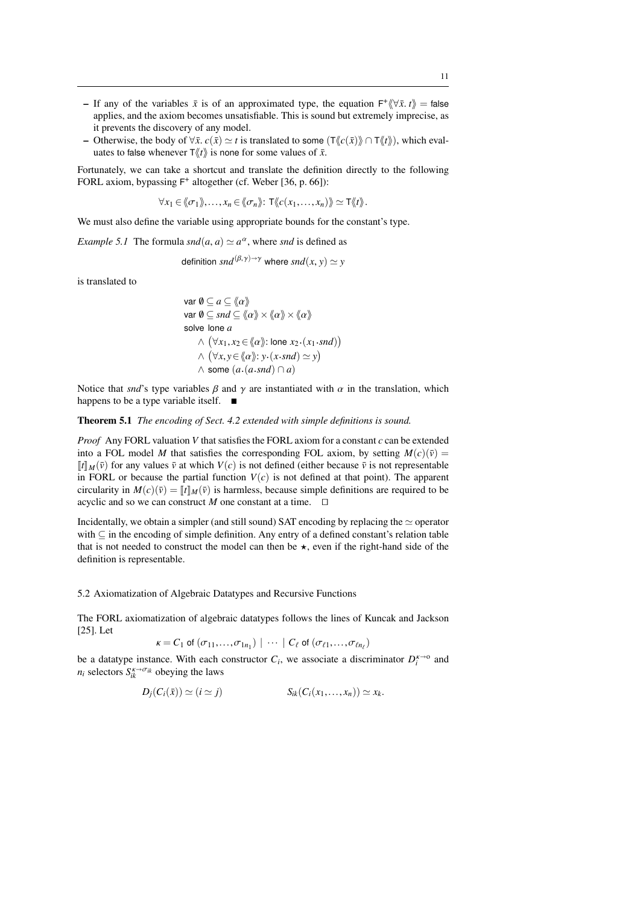- $\overrightarrow{F}$  If any of the variables  $\overrightarrow{x}$  is of an approximated type, the equation  $\overrightarrow{F}(\forall \overrightarrow{x}, t)$  = false applies, and the axiom becomes unsatisfiable. This is sound but extremely imprecise, as it prevents the discovery of any model.
- Otherwise, the body of  $\forall \bar{x}$ .  $c(\bar{x}) \approx t$  is translated to some  $(\text{T}\langle c(\bar{x})\rangle \cap \text{T}\langle t\rangle)$ , which evaluates to false whenever  $\mathsf{T} \langle \langle t \rangle$  is none for some values of  $\bar{x}$ .

Fortunately, we can take a shortcut and translate the definition directly to the following FORL axiom, bypassing  $F^+$  altogether (cf. Weber [36, p. 66]):

 $\forall x_1 \in \langle\!\langle \sigma_1 \rangle\!\rangle, \ldots, x_n \in \langle\!\langle \sigma_n \rangle\!\rangle: \mathsf{T} \langle\!\langle c(x_1,\ldots,x_n) \rangle\!\rangle \simeq \mathsf{T} \langle\!\langle t \rangle\!\rangle.$ 

We must also define the variable using appropriate bounds for the constant's type.

*Example 5.1* The formula  $\text{snd}(a, a) \simeq a^{\alpha}$ , where *snd* is defined as

definition 
$$
snd^{(\beta, \gamma) \to \gamma}
$$
 where  $snd(x, y) \simeq y$ 

is translated to

$$
\begin{aligned}\n\text{var } \emptyset &\subseteq a \subseteq \langle \{ \alpha \} \rangle \\
\text{var } \emptyset &\subseteq \mathit{snd} \subseteq \langle \{ \alpha \} \rangle \times \langle \{ \alpha \} \rangle \times \langle \{ \alpha \} \rangle \\
\text{solve lone } a \\
&\land \quad (\forall x_1, x_2 \in \langle \{ \alpha \} \rangle : \text{lone } x_2 \cdot (x_1 \cdot \mathit{snd}) ) \\
&\land \quad (\forall x, y \in \langle \{ \alpha \} \rangle : y \cdot (x \cdot \mathit{snd}) \simeq y ) \\
&\land \text{ some } (a \cdot (a \cdot \mathit{snd}) \cap a)\n\end{aligned}
$$

Notice that *snd*'s type variables  $\beta$  and  $\gamma$  are instantiated with  $\alpha$  in the translation, which happens to be a type variable itself.  $\blacksquare$ 

## Theorem 5.1 *The encoding of Sect. 4.2 extended with simple definitions is sound.*

*Proof* Any FORL valuation *V* that satisfies the FORL axiom for a constant *c* can be extended into a FOL model *M* that satisfies the corresponding FOL axiom, by setting  $M(c)(\bar{v}) =$  $\llbracket t \rrbracket_M(\bar{v})$  for any values  $\bar{v}$  at which  $V(c)$  is not defined (either because  $\bar{v}$  is not representable in FORL or because the partial function  $V(c)$  is not defined at that point). The apparent circularity in  $M(c)(\bar{v}) = ||t||_M(\bar{v})$  is harmless, because simple definitions are required to be acyclic and so we can construct *M* one constant at a time.  $\Box$ 

Incidentally, we obtain a simpler (and still sound) SAT encoding by replacing the  $\simeq$  operator with ⊆ in the encoding of simple definition. Any entry of a defined constant's relation table that is not needed to construct the model can then be  $\star$ , even if the right-hand side of the definition is representable.

5.2 Axiomatization of Algebraic Datatypes and Recursive Functions

The FORL axiomatization of algebraic datatypes follows the lines of Kuncak and Jackson [25]. Let

$$
\kappa = C_1 \text{ of } (\sigma_{11}, \ldots, \sigma_{1n_1}) \mid \cdots \mid C_{\ell} \text{ of } (\sigma_{\ell 1}, \ldots, \sigma_{\ell n_{\ell}})
$$

be a datatype instance. With each constructor  $C_i$ , we associate a discriminator  $D_i^{\kappa \to 0}$  and  $n_i$  selectors  $S_{ik}^{\kappa \to \sigma_{ik}}$  obeying the laws

$$
D_j(C_i(\bar{x})) \simeq (i \simeq j) \qquad S_{ik}(C_i(x_1,\ldots,x_n)) \simeq x_k.
$$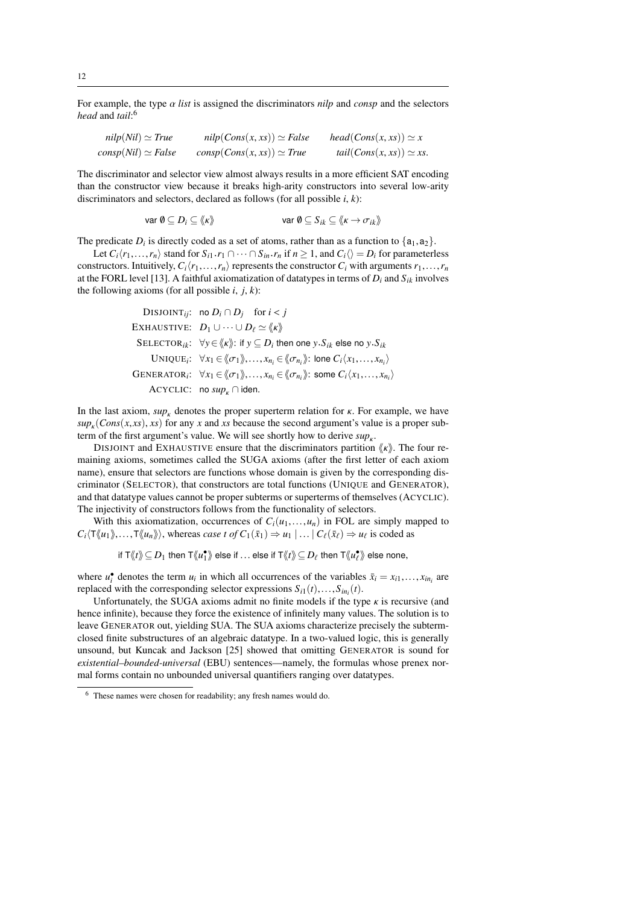For example, the type α *list* is assigned the discriminators *nilp* and *consp* and the selectors *head* and *tail*: 6

| $nilp(Nil) \simeq True$   | $nilp(Cons(x, xs)) \simeq False$ | $head(Cons(x, xs)) \simeq x$   |
|---------------------------|----------------------------------|--------------------------------|
| $consp(Nil) \simeq False$ | $consp(Cons(x, xs)) \simeq True$ | $tail(Cons(x, xs)) \simeq xs.$ |

The discriminator and selector view almost always results in a more efficient SAT encoding than the constructor view because it breaks high-arity constructors into several low-arity discriminators and selectors, declared as follows (for all possible *i*, *k*):

$$
\text{var } \emptyset \subseteq D_i \subseteq \langle \! \langle \kappa \rangle \! \rangle \qquad \text{var } \emptyset \subseteq S_{ik} \subseteq \langle \! \langle \kappa \to \sigma_{ik} \rangle \! \rangle
$$

The predicate  $D_i$  is directly coded as a set of atoms, rather than as a function to  $\{a_1, a_2\}$ .<br>Let  $C_i(r_1, \ldots, r_n)$  stand for  $S_i, r_i \cap \ldots \cap S_i, r_i$  if  $n \ge 1$  and  $C_i \cap \ldots \cap D_i$  for parameter

Let  $C_i\langle r_1,\ldots,r_n\rangle$  stand for  $S_{i1}.r_1 \cap \cdots \cap S_{in}.r_n$  if  $n \ge 1$ , and  $C_i\langle\rangle = D_i$  for parameterless structors. Intuitively  $C_i\langle r, \ldots, r_n \rangle$  represents the constructor  $C_i$  with arguments  $r_i \in \mathbb{R}$ . constructors. Intuitively,  $C_i\langle r_1,\ldots,r_n\rangle$  represents the constructor  $C_i$  with arguments  $r_1,\ldots,r_n$ at the FORL level [13]. A faithful axiomatization of datatypes in terms of  $D_i$  and  $S_{ik}$  involves the following axioms (for all possible  $i$ ,  $j$ ,  $k$ ):

\n
$$
\text{DISJOLNT}_{ij}
$$
: no  $D_i \cap D_j$  for  $i < j$ \n

\n\n $\text{EXHAVSTIVE:} \quad D_1 \cup \cdots \cup D_\ell \simeq \langle k \rangle$ \n

\n\n $\text{SELECTOR}_{ik}$ :  $\forall y \in \langle k \rangle$ : if  $y \subseteq D_i$  then one  $y.S_{ik}$  else no  $y.S_{ik}$ \n

\n\n $\text{UNIQUE}_i$ :  $\forall x_1 \in \langle \sigma_1 \rangle, \ldots, x_{n_i} \in \langle \sigma_{n_i} \rangle$ : one  $C_i \langle x_1, \ldots, x_{n_i} \rangle$ \n

\n\n $\text{GENERALOR}_i$ :  $\forall x_1 \in \langle \sigma_1 \rangle, \ldots, x_{n_i} \in \langle \sigma_{n_i} \rangle$ : some  $C_i \langle x_1, \ldots, x_{n_i} \rangle$ \n

\n\n $\text{ACYCLIC:} \quad \text{no } \text{sup}_k \cap \text{iden.}$ \n

In the last axiom,  $\sup_{k}$  denotes the proper superterm relation for  $\kappa$ . For example, we have  $sup_K(Cons(x, xs), xs)$  for any *x* and *xs* because the second argument's value is a proper sub-<br>term of the first argument's value. We will see shortly how to derive supterm of the first argument's value. We will see shortly how to derive  $\sup_{k}$ .<br>DISIONT and EXHAUSTIVE ensure that the discriminators partition

DISJOINT and EXHAUSTIVE ensure that the discriminators partition  $\langle \kappa \rangle$ . The four remaining axioms, sometimes called the SUGA axioms (after the first letter of each axiom name), ensure that selectors are functions whose domain is given by the corresponding discriminator (SELECTOR), that constructors are total functions (UNIQUE and GENERATOR), and that datatype values cannot be proper subterms or superterms of themselves (ACYCLIC). The injectivity of constructors follows from the functionality of selectors.

With this axiomatization, occurrences of  $C_i(u_1,...,u_n)$  in FOL are simply mapped to  $C_i \langle T(\langle u_1 \rangle),...,T(\langle u_n \rangle) \rangle$ , whereas *case t of*  $C_1(\bar{x}_1) \Rightarrow u_1 | ... | C_\ell(\bar{x}_\ell) \Rightarrow u_\ell$  is coded as

if  $\mathsf{T}\langle\!\langle t\rangle\!\rangle\subseteq D_1$  then  $\mathsf{T}\langle\!\langle u_1^\bullet\rangle\!\rangle$  else if  $\ldots$  else if  $\mathsf{T}\langle\!\langle t\rangle\!\rangle\subseteq D_\ell$  then  $\mathsf{T}\langle\!\langle u_\ell^\bullet\rangle\!\rangle$  else none,

where  $u_i^{\bullet}$  denotes the term  $u_i$  in which all occurrences of the variables  $\bar{x}_i = x_{i1},..., x_{in_i}$  are replaced with the corresponding selector expressions  $S_{i,j}(t) = S_{i,j}(t)$ replaced with the corresponding selector expressions  $S_{i1}(t),...,S_{in_i}(t)$ .<br>
Unfortunately, the SUGA axioms admit no finite models if the type

Unfortunately, the SUGA axioms admit no finite models if the type  $\kappa$  is recursive (and hence infinite), because they force the existence of infinitely many values. The solution is to leave GENERATOR out, yielding SUA. The SUA axioms characterize precisely the subtermclosed finite substructures of an algebraic datatype. In a two-valued logic, this is generally unsound, but Kuncak and Jackson [25] showed that omitting GENERATOR is sound for *existential–bounded-universal* (EBU) sentences—namely, the formulas whose prenex normal forms contain no unbounded universal quantifiers ranging over datatypes.

<sup>6</sup> These names were chosen for readability; any fresh names would do.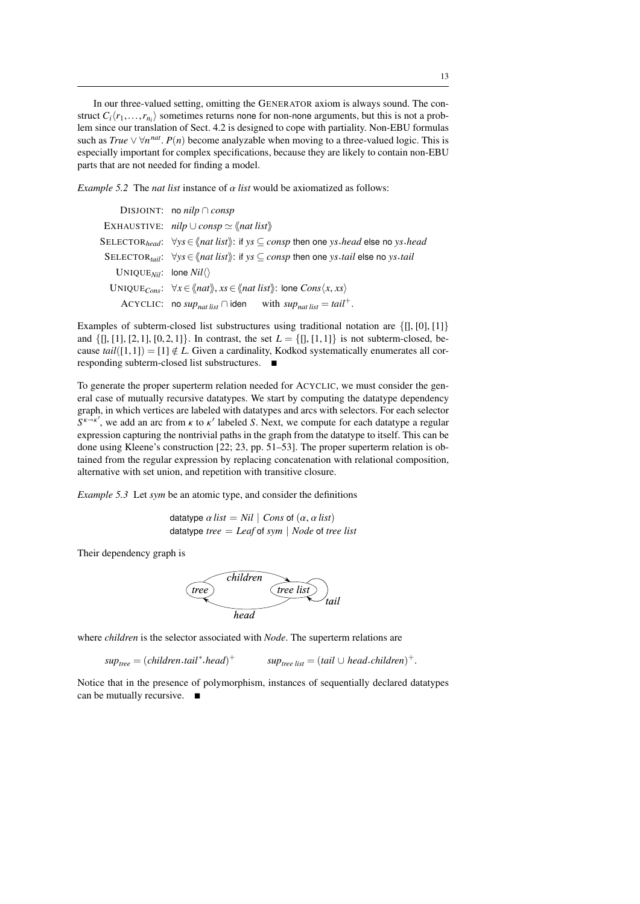In our three-valued setting, omitting the GENERATOR axiom is always sound. The construct  $C_i\langle r_1,\ldots,r_{n_i}\rangle$  sometimes returns none for non-none arguments, but this is not a prob-<br>lem since our translation of Sect 4.2 is designed to cone with partiality. Non-FBU formulas lem since our translation of Sect. 4.2 is designed to cope with partiality. Non-EBU formulas such as  $True \vee \forall n^{nat}$ .  $P(n)$  become analyzable when moving to a three-valued logic. This is<br>especially important for complex specifications, because they are likely to contain non-ERU especially important for complex specifications, because they are likely to contain non-EBU parts that are not needed for finding a model.

*Example 5.2* The *nat list* instance of  $\alpha$  *list* would be axiomatized as follows:

|                                                  | DISJOINT: no nilp $\cap$ consp                                                                                                                       |
|--------------------------------------------------|------------------------------------------------------------------------------------------------------------------------------------------------------|
|                                                  | EXHAUSTIVE: $nilp \cup consp \simeq \langle nat\; list \rangle$                                                                                      |
|                                                  | SELECTOR <sub>head</sub> : $\forall y s \in \langle nat \, list \rangle$ : if $ys \subseteq consp$ then one $ys \cdot head$ else no $ys \cdot head$  |
|                                                  | SELECTOR <sub>tail</sub> : $\forall y s \in \langle n \text{at list} \rangle$ : if $ys \subseteq \text{cons}p$ then one ys tail else no ys tail      |
| UNIQUE <sub>Nil</sub> : lone $Nil\langle\rangle$ |                                                                                                                                                      |
|                                                  | UNIQUE <sub>Cons</sub> : $\forall x \in \langle \langle nat \rangle, xs \in \langle \langle nat \rangle \rangle$ : lone Cons $\langle x, xs \rangle$ |
|                                                  | ACYCLIC: no $sup_{nat list} \cap$ iden with $sup_{nat list} = tail^+$ .                                                                              |
|                                                  |                                                                                                                                                      |

Examples of subterm-closed list substructures using traditional notation are  $\{[], [0], [1]\}$ and  $\{[], [1], [2,1], [0,2,1]\}$ . In contrast, the set  $L = \{[], [1,1]\}$  is not subterm-closed, because  $tail([1,1]) = [1] \notin L$ . Given a cardinality, Kodkod systematically enumerates all corresponding subterm-closed list substructures.

To generate the proper superterm relation needed for ACYCLIC, we must consider the general case of mutually recursive datatypes. We start by computing the datatype dependency graph, in which vertices are labeled with datatypes and arcs with selectors. For each selector  $S^{k \to k'}$ , we add an arc from  $k$  to  $k'$  labeled *S*. Next, we compute for each datatype a regular expression capturing the pontrivial paths in the graph from the datatype to itself. This can be expression capturing the nontrivial paths in the graph from the datatype to itself. This can be done using Kleene's construction [22; 23, pp. 51–53]. The proper superterm relation is obtained from the regular expression by replacing concatenation with relational composition, alternative with set union, and repetition with transitive closure.

*Example 5.3* Let *sym* be an atomic type, and consider the definitions

datatype  $\alpha$  *list* = *Nil* | *Cons* of  $(\alpha, \alpha$  *list*) datatype *tree* = *Leaf* of *sym* | *Node* of *tree list*

Their dependency graph is



where *children* is the selector associated with *Node*. The superterm relations are

*suptree* = (*children*.*tail*<sup>∗</sup> .*head*) <sup>+</sup> *suptree list* = (*tail* ∪ *head*.*children*) +

Notice that in the presence of polymorphism, instances of sequentially declared datatypes can be mutually recursive. ■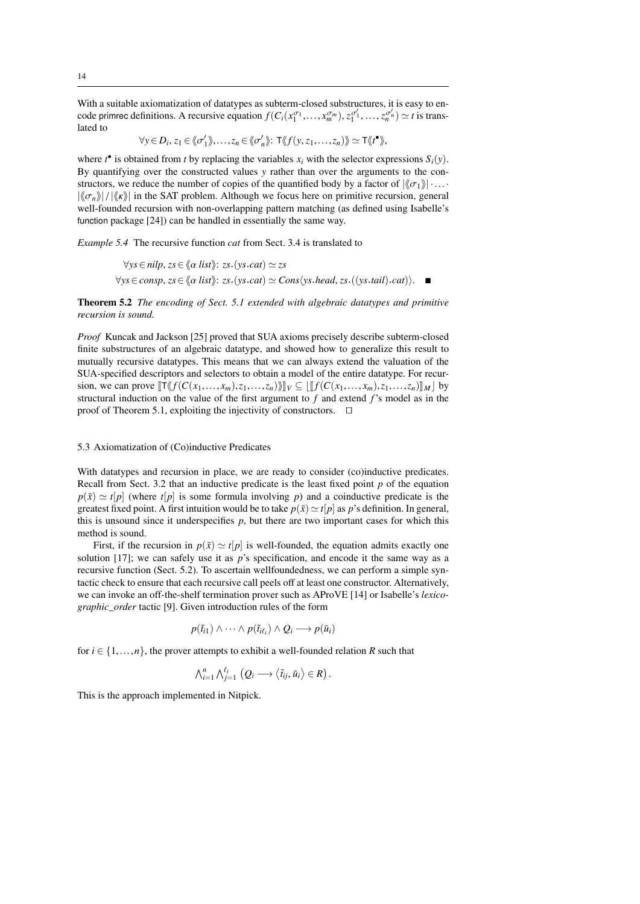With a suitable axiomatization of datatypes as subterm-closed substructures, it is easy to encode primrec definitions. A recursive equation  $f(C_i(x_1^{\sigma_1},...,x_m^{\sigma_m}), z_1^{\sigma'_1},...,z_n^{\sigma'_n}) \simeq t$  is translated to

$$
\forall y \in D_i, z_1 \in \langle \langle \sigma'_1 \rangle \rangle, \ldots, z_n \in \langle \langle \sigma'_n \rangle \rangle: \mathsf{T} \langle \langle f(y, z_1, \ldots, z_n) \rangle \rangle \simeq \mathsf{T} \langle \langle f^{\bullet} \rangle \rangle,
$$

where  $t^{\bullet}$  is obtained from *t* by replacing the variables  $x_i$  with the selector expressions  $S_i(y)$ . By quantifying over the constructed values *y* rather than over the arguments to the constructors, we reduce the number of copies of the quantified body by a factor of  $\|\langle \sigma_1 \rangle\| \dots$  $|\langle \sigma_n \rangle| / |\langle \kappa \rangle|$  in the SAT problem. Although we focus here on primitive recursion, general well-founded recursion with non-overlapping pattern matching (as defined using Isabelle's function package [24]) can be handled in essentially the same way.

*Example 5.4* The recursive function *cat* from Sect. 3.4 is translated to

$$
\forall ys \in nilp, zs \in \langle \alpha list \rangle : zs.(yscat) \simeq zs
$$
  

$$
\forall ys \in consp, zs \in \langle \alpha list \rangle : zs.(yscat) \simeq Cons \langle vs. head, zs.((ys.tail).cat) \rangle.
$$

Theorem 5.2 *The encoding of Sect. 5.1 extended with algebraic datatypes and primitive recursion is sound.*

*Proof* Kuncak and Jackson [25] proved that SUA axioms precisely describe subterm-closed finite substructures of an algebraic datatype, and showed how to generalize this result to mutually recursive datatypes. This means that we can always extend the valuation of the SUA-specified descriptors and selectors to obtain a model of the entire datatype. For recursion, we can prove  $\llbracket \mathsf{T} \langle f(C(x_1,...,x_m), z_1,...,z_n) \rangle \rrbracket_V \subseteq \llbracket f(C(x_1,...,x_m), z_1,...,z_n) \rrbracket_M \rrbracket$  by structural induction on the value of the first argument to *f* and extend *f*'s model as in the proof of Theorem 5.1, exploiting the injectivity of constructors.  $\Box$ 

#### 5.3 Axiomatization of (Co)inductive Predicates

With datatypes and recursion in place, we are ready to consider (co)inductive predicates. Recall from Sect. 3.2 that an inductive predicate is the least fixed point *p* of the equation  $p(\bar{x}) \simeq t[p]$  (where  $t[p]$  is some formula involving *p*) and a coinductive predicate is the greatest fixed point. A first intuition would be to take  $p(\bar{x}) \simeq t/p$  as *p*'s definition. In general, this is unsound since it underspecifies  $p$ , but there are two important cases for which this method is sound.

First, if the recursion in  $p(\bar{x}) \simeq t[p]$  is well-founded, the equation admits exactly one solution [17]; we can safely use it as *p*'s specification, and encode it the same way as a recursive function (Sect. 5.2). To ascertain wellfoundedness, we can perform a simple syntactic check to ensure that each recursive call peels off at least one constructor. Alternatively, we can invoke an off-the-shelf termination prover such as AProVE [14] or Isabelle's *lexicographic\_order* tactic [9]. Given introduction rules of the form

$$
p(\bar{t}_{i1}) \wedge \cdots \wedge p(\bar{t}_{i\ell_i}) \wedge Q_i \longrightarrow p(\bar{u}_i)
$$

for  $i \in \{1, \ldots, n\}$ , the prover attempts to exhibit a well-founded relation *R* such that

$$
\bigwedge_{i=1}^n \bigwedge_{j=1}^{\ell_i} (Q_i \longrightarrow \big\langle \overline{t}_{ij}, \overline{u}_i \big\rangle \in R)
$$

This is the approach implemented in Nitpick.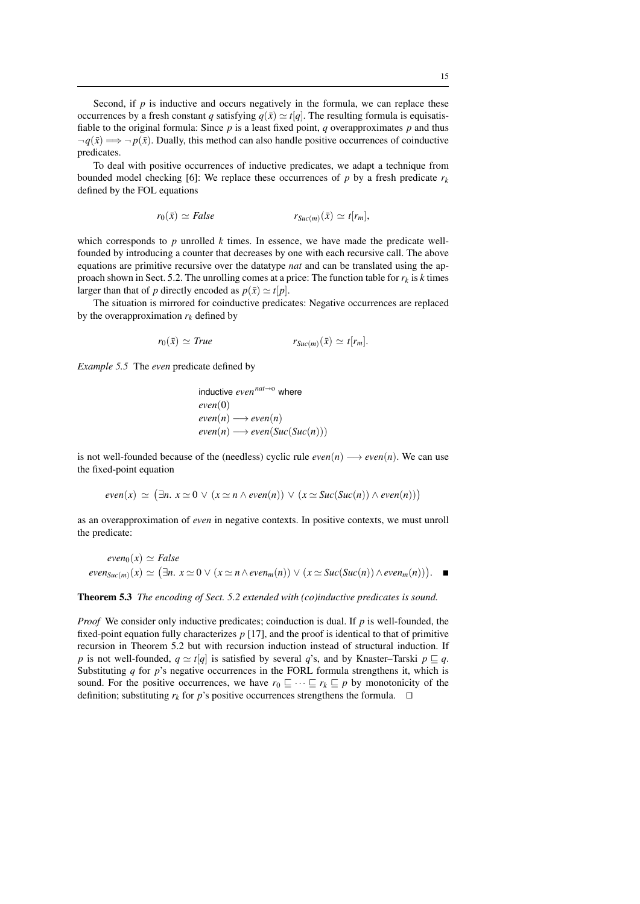Second, if  $p$  is inductive and occurs negatively in the formula, we can replace these occurrences by a fresh constant *q* satisfying  $q(\bar{x}) \simeq t[q]$ . The resulting formula is equisatisfiable to the original formula: Since  $p$  is a least fixed point,  $q$  overapproximates  $p$  and thus  $\neg q(\bar{x}) \Longrightarrow \neg p(\bar{x})$ . Dually, this method can also handle positive occurrences of coinductive predicates.

To deal with positive occurrences of inductive predicates, we adapt a technique from bounded model checking [6]: We replace these occurrences of  $p$  by a fresh predicate  $r_k$ defined by the FOL equations

$$
r_0(\bar{x}) \simeq False \qquad \qquad r_{Suc(m)}(\bar{x}) \simeq t[r_m],
$$

which corresponds to  $p$  unrolled  $k$  times. In essence, we have made the predicate wellfounded by introducing a counter that decreases by one with each recursive call. The above equations are primitive recursive over the datatype *nat* and can be translated using the approach shown in Sect. 5.2. The unrolling comes at a price: The function table for  $r_k$  is *k* times larger than that of *p* directly encoded as  $p(\bar{x}) \simeq t[p]$ .

The situation is mirrored for coinductive predicates: Negative occurrences are replaced by the overapproximation  $r_k$  defined by

$$
r_0(\bar{x}) \simeq True \qquad \qquad r_{Suc(m)}(\bar{x}) \simeq t[r_m].
$$

*Example 5.5* The *even* predicate defined by

inductive 
$$
even^{nat \to o}
$$
 where  
\n $even(0)$   
\n $even(n) \longrightarrow even(n)$   
\n $even(n) \longrightarrow even(Suc(Suc(n)))$ 

is not well-founded because of the (needless) cyclic rule  $even(n) \rightarrow even(n)$ . We can use the fixed-point equation

$$
even(x) \simeq (\exists n. \ x \simeq 0 \vee (x \simeq n \wedge even(n)) \vee (x \simeq Succ(Suc(n)) \wedge even(n)))
$$

as an overapproximation of *even* in negative contexts. In positive contexts, we must unroll the predicate:

$$
even_0(x) \simeq False
$$
  

$$
even_{Suc(m)}(x) \simeq (\exists n. x \simeq 0 \vee (x \simeq n \wedge even_m(n)) \vee (x \simeq Succ(Suc(n)) \wedge even_m(n))). \blacksquare
$$

Theorem 5.3 *The encoding of Sect. 5.2 extended with (co)inductive predicates is sound.*

*Proof* We consider only inductive predicates; coinduction is dual. If *p* is well-founded, the fixed-point equation fully characterizes *p* [17], and the proof is identical to that of primitive recursion in Theorem 5.2 but with recursion induction instead of structural induction. If *p* is not well-founded,  $q \simeq t[q]$  is satisfied by several *q*'s, and by Knaster–Tarski  $p \sqsubseteq q$ . Substituting *q* for *p*'s negative occurrences in the FORL formula strengthens it, which is sound. For the positive occurrences, we have  $r_0 \subseteq \cdots \subseteq r_k \subseteq p$  by monotonicity of the definition; substituting  $r_k$  for p's positive occurrences strengthens the formula.  $\square$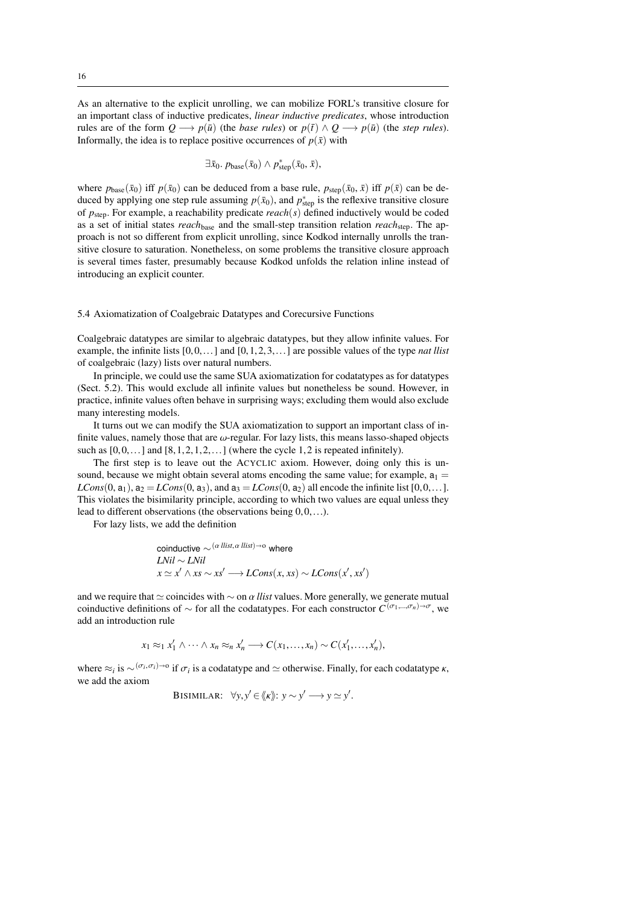As an alternative to the explicit unrolling, we can mobilize FORL's transitive closure for an important class of inductive predicates, *linear inductive predicates*, whose introduction rules are of the form  $Q \longrightarrow p(\bar{u})$  (the *base rules*) or  $p(\bar{t}) \land Q \longrightarrow p(\bar{u})$  (the *step rules*). Informally, the idea is to replace positive occurrences of  $p(\bar{x})$  with

$$
\exists \bar{x}_0. p_{\text{base}}(\bar{x}_0) \wedge p_{\text{step}}^*(\bar{x}_0, \bar{x}),
$$

where  $p_{base}(\bar{x}_0)$  iff  $p(\bar{x}_0)$  can be deduced from a base rule,  $p_{step}(\bar{x}_0, \bar{x})$  iff  $p(\bar{x})$  can be deduced by applying one step rule assuming  $p(\bar{x}_0)$ , and  $p^*_{step}$  is the reflexive transitive closure of *p*step. For example, a reachability predicate *reach*(*s*) defined inductively would be coded as a set of initial states *reach*base and the small-step transition relation *reach*step. The approach is not so different from explicit unrolling, since Kodkod internally unrolls the transitive closure to saturation. Nonetheless, on some problems the transitive closure approach is several times faster, presumably because Kodkod unfolds the relation inline instead of introducing an explicit counter.

#### 5.4 Axiomatization of Coalgebraic Datatypes and Corecursive Functions

Coalgebraic datatypes are similar to algebraic datatypes, but they allow infinite values. For example, the infinite lists [0,0,...] and [0,1,2,3,...] are possible values of the type *nat llist* of coalgebraic (lazy) lists over natural numbers.

In principle, we could use the same SUA axiomatization for codatatypes as for datatypes (Sect. 5.2). This would exclude all infinite values but nonetheless be sound. However, in practice, infinite values often behave in surprising ways; excluding them would also exclude many interesting models.

It turns out we can modify the SUA axiomatization to support an important class of infinite values, namely those that are  $\omega$ -regular. For lazy lists, this means lasso-shaped objects such as  $[0,0,...]$  and  $[8,1,2,1,2,...]$  (where the cycle 1,2 is repeated infinitely).

The first step is to leave out the ACYCLIC axiom. However, doing only this is unsound, because we might obtain several atoms encoding the same value; for example,  $a_1 =$  $LCons(0, a_1), a_2 = LCons(0, a_3),$  and  $a_3 = LCons(0, a_2)$  all encode the infinite list  $[0, 0, \ldots]$ . This violates the bisimilarity principle, according to which two values are equal unless they lead to different observations (the observations being 0,0,...).

For lazy lists, we add the definition

coinductive ∼ (
$$
\alpha
$$
 *llist*,  $\alpha$  *llist*)→0 where  
*LNil* ∼ *LNil*  
 $x \simeq x' \wedge xs \sim xs' \longrightarrow LCons(x, xs) \sim LCons(x', xs')$ 

and we require that  $\simeq$  coincides with  $\sim$  on  $\alpha$  *llist* values. More generally, we generate mutual coinductive definitions of  $\sim$  for all the codatatypes. For each constructor  $C^{(\sigma_1,\ldots,\sigma_n)\to\sigma}$ , we add an introduction rule

$$
x_1 \approx_1 x'_1 \wedge \cdots \wedge x_n \approx_n x'_n \longrightarrow C(x_1, \ldots, x_n) \sim C(x'_1, \ldots, x'_n),
$$

where  $\approx_i$  is  $\sim^{(\sigma_i, \sigma_i)\to 0}$  if  $\sigma_i$  is a codatatype and  $\simeq$  otherwise. Finally, for each codatatype  $\kappa$ , we add the axiom

BISIMILAR: 
$$
\forall y, y' \in \langle k \rangle: y \sim y' \longrightarrow y \simeq y'.
$$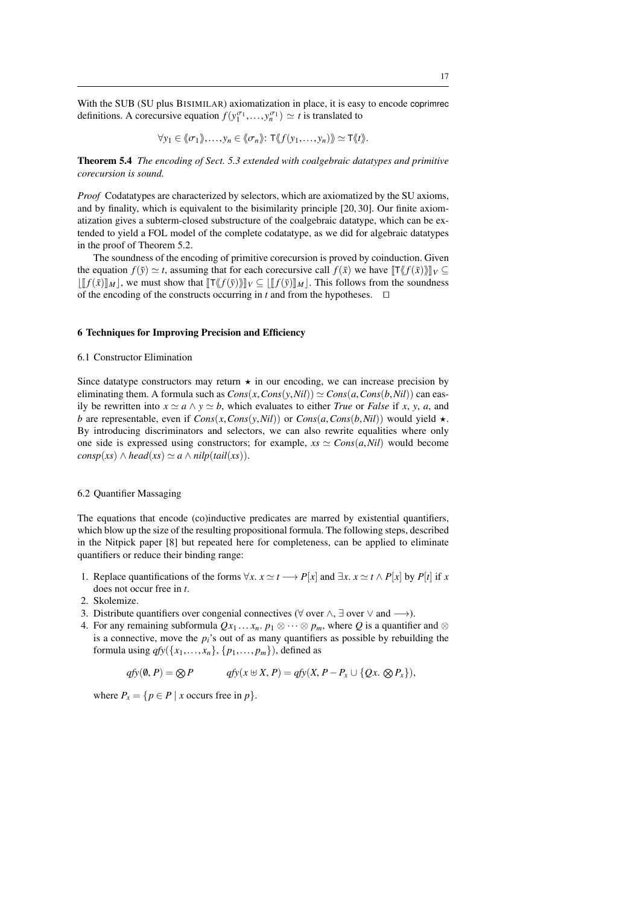With the SUB (SU plus BISIMILAR) axiomatization in place, it is easy to encode coprimrec definitions. A corecursive equation  $f(y_1^{\sigma_1},..., y_n^{\sigma_1}) \simeq t$  is translated to

$$
\forall y_1 \in \langle\!\langle \sigma_1 \rangle\!\rangle, \ldots, y_n \in \langle\!\langle \sigma_n \rangle\!\rangle: \mathsf{T} \langle\!\langle f(y_1, \ldots, y_n) \rangle\!\rangle \simeq \mathsf{T} \langle\!\langle t \rangle\!\rangle.
$$

Theorem 5.4 *The encoding of Sect. 5.3 extended with coalgebraic datatypes and primitive corecursion is sound.*

*Proof* Codatatypes are characterized by selectors, which are axiomatized by the SU axioms, and by finality, which is equivalent to the bisimilarity principle [20, 30]. Our finite axiomatization gives a subterm-closed substructure of the coalgebraic datatype, which can be extended to yield a FOL model of the complete codatatype, as we did for algebraic datatypes in the proof of Theorem 5.2.

The soundness of the encoding of primitive corecursion is proved by coinduction. Given the equation  $f(\bar{y}) \simeq t$ , assuming that for each corecursive call  $f(\bar{x})$  we have  $\llbracket T\langle f(\bar{x})\rangle \llbracket V \subseteq$  $\|f(\bar{x})\|_{M}$ , we must show that  $\|T\langle f(\bar{y})\rangle\|_{V} \subseteq \|f(\bar{y})\|_{M}$ . This follows from the soundness of the encoding of the constructs occurring in  $t$  and from the hypotheses.  $\Box$ 

## 6 Techniques for Improving Precision and Efficiency

## 6.1 Constructor Elimination

Since datatype constructors may return  $\star$  in our encoding, we can increase precision by eliminating them. A formula such as  $Cons(x, Cons(y, Nil)) \simeq Cons(a, Cons(b, Nil))$  can easily be rewritten into  $x \simeq a \wedge y \simeq b$ , which evaluates to either *True* or *False* if *x*, *y*, *a*, and *b* are representable, even if  $Cons(x, Cons(y, Nil))$  or  $Cons(a, Cons(b, Nil))$  would yield  $\star$ . By introducing discriminators and selectors, we can also rewrite equalities where only one side is expressed using constructors; for example,  $xs \simeq Cons(a,Nil)$  would become  $consp(xs) \wedge head(xs) \simeq a \wedge nilp(tail(xs)).$ 

#### 6.2 Quantifier Massaging

The equations that encode (co)inductive predicates are marred by existential quantifiers, which blow up the size of the resulting propositional formula. The following steps, described in the Nitpick paper [8] but repeated here for completeness, can be applied to eliminate quantifiers or reduce their binding range:

- 1. Replace quantifications of the forms  $\forall x. x \simeq t \rightarrow P[x]$  and  $\exists x. x \simeq t \land P[x]$  by  $P[t]$  if *x* does not occur free in *t*.
- 2. Skolemize.
- 3. Distribute quantifiers over congenial connectives ( $\forall$  over  $\land$ ,  $\exists$  over  $\lor$  and  $\longrightarrow$ ).
- 4. For any remaining subformula  $Qx_1 \ldots x_n$ .  $p_1 \otimes \cdots \otimes p_m$ , where Q is a quantifier and  $\otimes$ is a connective, move the  $p_i$ 's out of as many quantifiers as possible by rebuilding the formula using  $qfy({x_1},...,x_n), {p_1},..., p_m)$ , defined as

$$
qfy(\emptyset, P) = \bigotimes P \qquad \qquad qfy(x \oplus X, P) = qfy(X, P - P_x \cup \{Qx, \bigotimes P_x\}),
$$

where  $P_x = \{p \in P \mid x \text{ occurs free in } p\}.$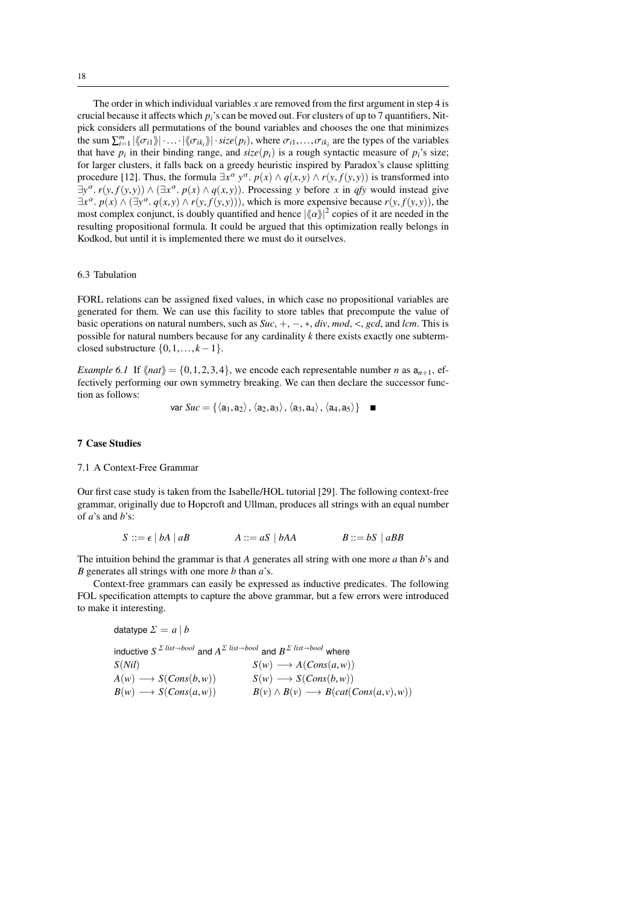The order in which individual variables *x* are removed from the first argument in step 4 is crucial because it affects which *pi*'s can be moved out. For clusters of up to 7 quantifiers, Nitpick considers all permutations of the bound variables and chooses the one that minimizes the sum  $\sum_{i=1}^{m} |\langle \sigma_{i1} \rangle| \cdot ... \cdot |\langle \sigma_{ik_i} \rangle| \cdot size(p_i)$ , where  $\sigma_{i1},...,\sigma_{ik_i}$  are the types of the variables that have *n* in their hinding range, and size (*n*·) is a rough syntactic measure of *n*·'s size: that have  $p_i$  in their binding range, and  $size(p_i)$  is a rough syntactic measure of  $p_i$ 's size; for larger clusters, it falls back on a greedy heuristic inspired by Paradox's clause splitting procedure [12]. Thus, the formula  $\exists x^{\alpha} y^{\alpha}$ .  $p(x) \wedge q(x, y) \wedge r(y, f(y, y))$  is transformed into<br> $\exists y^{\alpha} r(y, f(y, y)) \wedge (\exists x^{\alpha} p(x) \wedge q(x, y))$ . Processing y before x in *a*fy would instead give  $\exists y^{\alpha}$ .  $r(y, f(y, y)) \wedge (\exists x^{\alpha}, p(x) \wedge q(x, y))$ . Processing *y* before *x* in *qfy* would instead give  $\exists x^{\alpha}$ .  $p(x) \wedge (\exists y^{\alpha}, q(x, y) \wedge r(y, f(y, y)))$ , which is more expensive because  $r(y, f(y, y))$ , the most complex conjunct is doubly quantified and hence  $|\ell_{\alpha}y|^2$  copies of it are needed in the most complex conjunct, is doubly quantified and hence  $|\langle \alpha \rangle|^2$  copies of it are needed in the resulting propositional formula. It could be argued that this optimization really belongs in resulting propositional formula. It could be argued that this optimization really belongs in Kodkod, but until it is implemented there we must do it ourselves.

## 6.3 Tabulation

FORL relations can be assigned fixed values, in which case no propositional variables are generated for them. We can use this facility to store tables that precompute the value of basic operations on natural numbers, such as *Suc*, <sup>+</sup>, <sup>−</sup>, <sup>∗</sup>, *div*, *mod*, <, *gcd*, and *lcm*. This is possible for natural numbers because for any cardinality *k* there exists exactly one subtermclosed substructure  $\{0,1,\ldots,k-1\}$ .

*Example 6.1* If  $\langle \langle nat \rangle \rangle = \{0,1,2,3,4\}$ , we encode each representable number *n* as  $a_{n+1}$ , effectively performing our own symmetry breaking. We can then declare the successor function as follows:

$$
var\,Suc = \{\langle a_1, a_2 \rangle, \langle a_2, a_3 \rangle, \langle a_3, a_4 \rangle, \langle a_4, a_5 \rangle\}
$$

## 7 Case Studies

#### 7.1 A Context-Free Grammar

Our first case study is taken from the Isabelle/HOL tutorial [29]. The following context-free grammar, originally due to Hopcroft and Ullman, produces all strings with an equal number of *a*'s and *b*'s:

$$
S ::= \epsilon | bA | aB \qquad A ::= aS | bAA \qquad B ::= bS | aBB
$$

The intuition behind the grammar is that *A* generates all string with one more *a* than *b*'s and *B* generates all strings with one more *b* than *a*'s.

Context-free grammars can easily be expressed as inductive predicates. The following FOL specification attempts to capture the above grammar, but a few errors were introduced to make it interesting.

$$
datatype \Sigma = a | b
$$

inductive  $S^{\Sigma \text{ list}\rightarrow bool}$  and  $A^{\Sigma \text{ list}\rightarrow bool}$  and  $B^{\Sigma \text{ list}\rightarrow bool}$  where  $S(\textit{Nil})$ <br>  $A(\textit{w}) \longrightarrow S(Cons(b, \textit{w}))$ <br>  $S(\textit{w}) \longrightarrow S(Cons(b, \textit{w}))$ <br>  $S(\textit{w}) \longrightarrow S(Cons(b, \textit{w}))$  $A(w) \longrightarrow S(Cons(b, w))$   $S(w) \longrightarrow S(Cons(b, w))$ <br> $B(w) \longrightarrow B(cons(c, w))$   $B(w) \wedge B(w) \longrightarrow B(scb(b, w))$  $B(w) \longrightarrow S(Cons(a, w))$   $B(v) \land B(v) \longrightarrow B(cat(Cons(a, v), w))$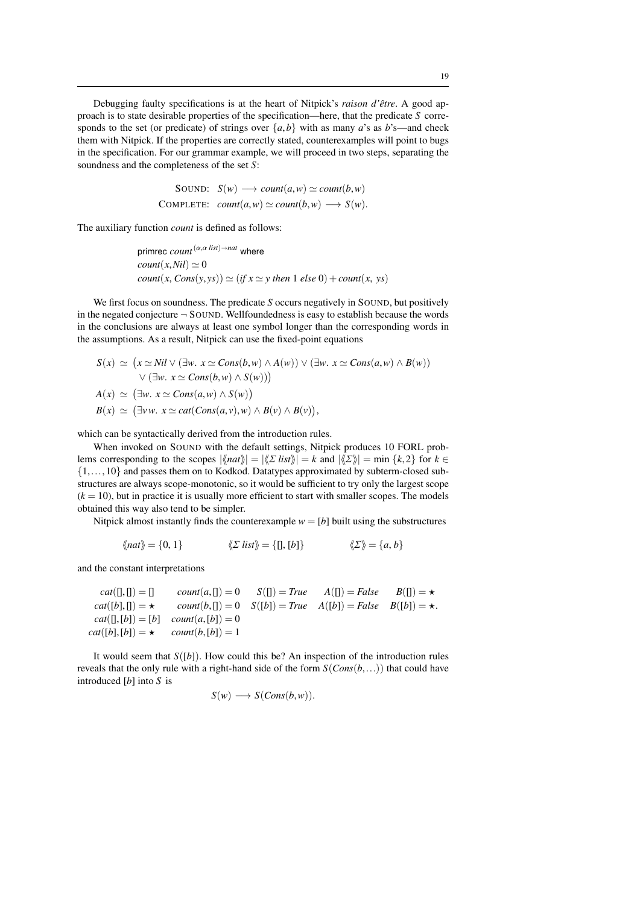Debugging faulty specifications is at the heart of Nitpick's *raison d'être*. A good approach is to state desirable properties of the specification—here, that the predicate *S* corresponds to the set (or predicate) of strings over  $\{a,b\}$  with as many *a*'s as *b*'s—and check them with Nitpick. If the properties are correctly stated, counterexamples will point to bugs in the specification. For our grammar example, we will proceed in two steps, separating the soundness and the completeness of the set *S*:

SOUND: 
$$
S(w) \longrightarrow count(a, w) \simeq count(b, w)
$$
  
COMPLETE:  $count(a, w) \simeq count(b, w) \longrightarrow S(w)$ .

The auxiliary function *count* is defined as follows:

$$
\begin{aligned}\n\text{prime count}^{(\alpha, \alpha \text{ list}) \to nat} & \text{where} \\
\text{count}(x, Nil) &\simeq 0 \\
\text{count}(x, Cons(y, ys)) &\simeq (if x \simeq y \text{ then } 1 \text{ else } 0) + \text{count}(x, ys)\n\end{aligned}
$$

We first focus on soundness. The predicate *S* occurs negatively in SOUND, but positively in the negated conjecture  $\neg$  SOUND. Wellfoundedness is easy to establish because the words in the conclusions are always at least one symbol longer than the corresponding words in the assumptions. As a result, Nitpick can use the fixed-point equations

$$
S(x) \simeq (x \simeq Nil \vee (\exists w. x \simeq Cons(b, w) \wedge A(w)) \vee (\exists w. x \simeq Cons(a, w) \wedge B(w))
$$
  
 
$$
\vee (\exists w. x \simeq Cons(b, w) \wedge S(w)))
$$
  

$$
A(x) \simeq (\exists w. x \simeq Cons(a, w) \wedge S(w))
$$
  

$$
B(x) \simeq (\exists vw. x \simeq cat(Cons(a, v), w) \wedge B(v) \wedge B(v)),
$$

which can be syntactically derived from the introduction rules.

When invoked on SOUND with the default settings, Nitpick produces 10 FORL problems corresponding to the scopes  $|\langle \langle \rangle n a t \rangle| = |\langle \rangle \rangle E \rangle = k$  and  $|\langle \rangle \langle \rangle = \langle \rangle$  for  $k \in \mathbb{R}$ {1,...,10} and passes them on to Kodkod. Datatypes approximated by subterm-closed substructures are always scope-monotonic, so it would be sufficient to try only the largest scope  $(k = 10)$ , but in practice it is usually more efficient to start with smaller scopes. The models obtained this way also tend to be simpler.

Nitpick almost instantly finds the counterexample  $w = [b]$  built using the substructures

$$
\langle \langle nat \rangle \rangle = \{0, 1\} \qquad \langle \langle \Sigma \text{ list } \rangle \rangle = \{[], [b]\} \qquad \langle \langle \Sigma \rangle \rangle = \{a, b\}
$$

and the constant interpretations

| $cat(\Pi,\Pi)=\Pi$                        |                                        | $count(a, \Pi) = 0$ $S(\Pi) = True$ $A(\Pi) = False$ $B(\Pi) = \star$            |  |
|-------------------------------------------|----------------------------------------|----------------------------------------------------------------------------------|--|
| $cat([b], [] = \star$                     |                                        | $count(b, [] = 0 \quad S([b]) = True \quad A([b]) = False \quad B([b]) = \star.$ |  |
|                                           | $cat($ [, [b]) = [b] count(a, [b]) = 0 |                                                                                  |  |
| $cat([b],[b]) = \star$ $count(b,[b]) = 1$ |                                        |                                                                                  |  |
|                                           |                                        |                                                                                  |  |

It would seem that  $S([b])$ . How could this be? An inspection of the introduction rules reveals that the only rule with a right-hand side of the form  $S(Cons(b,...))$  that could have introduced [*b*] into *S* is

$$
S(w) \longrightarrow S(Cons(b,w)).
$$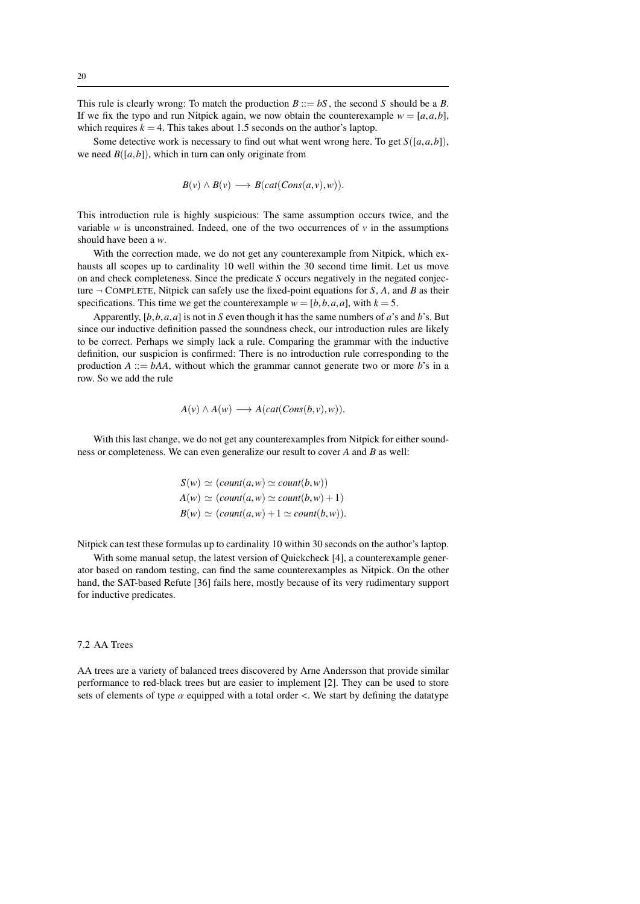This rule is clearly wrong: To match the production  $B ::= bS$ , the second *S* should be a *B*. If we fix the typo and run Nitpick again, we now obtain the counterexample  $w = [a, a, b]$ , which requires  $k = 4$ . This takes about 1.5 seconds on the author's laptop.

Some detective work is necessary to find out what went wrong here. To get *<sup>S</sup>*([*a*,*a*,*b*]), we need  $B([a, b])$ , which in turn can only originate from

$$
B(v) \wedge B(v) \longrightarrow B(cat(Cons(a,v),w)).
$$

This introduction rule is highly suspicious: The same assumption occurs twice, and the variable  $w$  is unconstrained. Indeed, one of the two occurrences of  $v$  in the assumptions should have been a *w*.

With the correction made, we do not get any counterexample from Nitpick, which exhausts all scopes up to cardinality 10 well within the 30 second time limit. Let us move on and check completeness. Since the predicate *S* occurs negatively in the negated conjecture ¬ COMPLETE, Nitpick can safely use the fixed-point equations for *S*, *A*, and *B* as their specifications. This time we get the counterexample  $w = [b, b, a, a]$ , with  $k = 5$ .

Apparently, [*b*,*b*,*a*,*a*] is not in *<sup>S</sup>* even though it has the same numbers of *<sup>a</sup>*'s and *<sup>b</sup>*'s. But since our inductive definition passed the soundness check, our introduction rules are likely to be correct. Perhaps we simply lack a rule. Comparing the grammar with the inductive definition, our suspicion is confirmed: There is no introduction rule corresponding to the production  $A ::= bAA$ , without which the grammar cannot generate two or more  $b$ 's in a row. So we add the rule

$$
A(v) \wedge A(w) \longrightarrow A(cat(Cons(b,v),w)).
$$

With this last change, we do not get any counterexamples from Nitpick for either soundness or completeness. We can even generalize our result to cover *A* and *B* as well:

$$
S(w) \simeq (count(a, w) \simeq count(b, w))
$$
  
\n
$$
A(w) \simeq (count(a, w) \simeq count(b, w) + 1)
$$
  
\n
$$
B(w) \simeq (count(a, w) + 1 \simeq count(b, w)).
$$

Nitpick can test these formulas up to cardinality 10 within 30 seconds on the author's laptop.

With some manual setup, the latest version of Quickcheck [4], a counterexample generator based on random testing, can find the same counterexamples as Nitpick. On the other hand, the SAT-based Refute [36] fails here, mostly because of its very rudimentary support for inductive predicates.

## 7.2 AA Trees

AA trees are a variety of balanced trees discovered by Arne Andersson that provide similar performance to red-black trees but are easier to implement [2]. They can be used to store sets of elements of type  $\alpha$  equipped with a total order <. We start by defining the datatype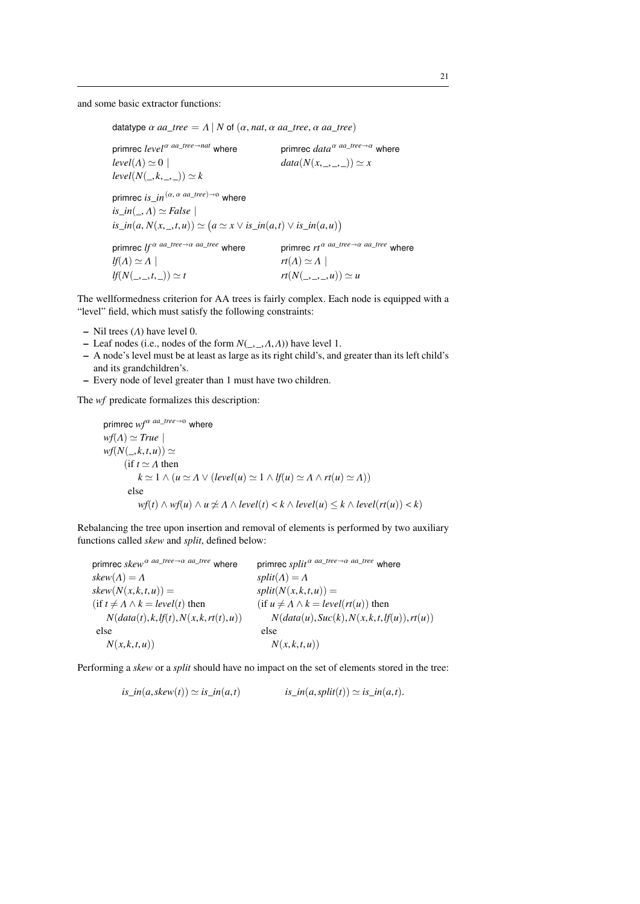and some basic extractor functions:

datatype  $\alpha$  *aa\_tree* =  $\Lambda$  |  $N$  of  $(\alpha, nat, \alpha$  *aa\_tree*,  $\alpha$  *aa\_tree*)

primrec  $level^{\alpha}$   $^{aa\_tree \rightarrow nat}$  where primrec  $data^{\alpha}$   $^{aa\_tree \rightarrow \alpha}$  where  $level(A) \simeq 0$  |  $data(N(x, \_, \_)) \simeq x$  $level(N(\_,k,\_,\_) ) \simeq k$ primrec *is*  $in^{(\alpha, \alpha \text{ aa\_tree}) \rightarrow o}$  where *is\_in*( $\Lambda$ )  $\simeq$  *False* |  $$ primrec  $\int f^{\alpha} \, a a_{\perp} t^{\alpha} e^{-\alpha} \, a a_{\perp} t^{\alpha} e^{-\alpha}$  where primrec  $r t^{\alpha} \, a a_{\perp} t^{\alpha} e^{-\alpha} a a_{\perp} t^{\alpha} e^{-\alpha}$  where  $lf(A) \simeq A \mid$ <br>  $lf(N(\_,\_,t,\_) ) \simeq t$   $rt(A) \simeq A \mid$ <br>  $rt(N(\_,\_,\_,t,\_) )$  $rt(N(\_,\_,\_,\_), u)) \simeq u$ 

The wellformedness criterion for AA trees is fairly complex. Each node is equipped with a "level" field, which must satisfy the following constraints:

- Nil trees  $(\Lambda)$  have level 0.
- Leaf nodes (i.e., nodes of the form  $N(\_,\_,\Lambda,\Lambda)$ ) have level 1.
- A node's level must be at least as large as its right child's, and greater than its left child's and its grandchildren's.
- Every node of level greater than 1 must have two children.

The *wf* predicate formalizes this description:

```
primrec wf<sup>α aa_tree→o</sup> where
wf(A) \simeq Truewf(N(\_,k,t,u)) \simeq(if t \simeq \Lambda then
            k \approx 1 \wedge (u \approx A \vee (level(u) \approx 1 \wedge lf(u) \approx A \wedge rt(u) \approx A))else
            wf(t) \wedge wf(u) \wedge u \nleq A \wedge level(t) < k \wedge level(u) \leq k \wedge level(rt(u)) < k)
```
Rebalancing the tree upon insertion and removal of elements is performed by two auxiliary functions called *skew* and *split*, defined below:

primrec  $skew^{\alpha}$  *aa\_tree*  $\rightarrow \alpha$  *aa\_tree* where primrec  $split^{\alpha}$  *aa\_tree*  $\rightarrow \alpha$  *aa\_tree* where  $skew(A) = A$ <br>  $skew(N(x, k, t, u)) =$ <br>  $split(N(x, k, t, u)) =$  $skew(N(x, k, t, u)) =$ <br>(*if*  $t \neq A \land k = level(t)$  then  $t \neq \Lambda \land k = level(t)$  then (if  $u \neq \Lambda \land k = level(rt(u))$  then  $N(data(t), k, tf(t), N(x, k, rt(t), u))$   $N(data(u), Suc(k), N(x, k, t, t))$  $N(data(t), k, l\mathit{f}(t), N(x, k, rt(t), u))$   $N(data(u), Suc(k), N(x, k, t, l\mathit{f}(u)), rt(u))$ <br>else else else else  $N(x, k, t, u)$   $N(x, k, t, u)$ 

Performing a *skew* or a *split* should have no impact on the set of elements stored in the tree:

$$
is\_in(a,skew(t)) \simeq is\_in(a,t)
$$
  $is\_in(a,split(t)) \simeq is\_in(a,t).$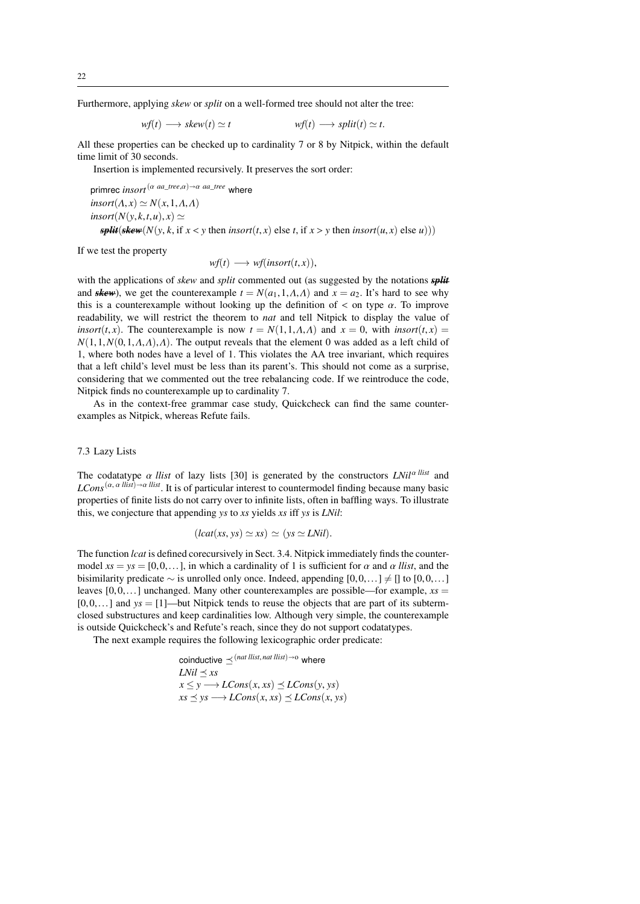Furthermore, applying *skew* or *split* on a well-formed tree should not alter the tree:

$$
wf(t) \longrightarrow skew(t) \simeq t \qquad \qquad wf(t) \longrightarrow split(t) \simeq t.
$$

All these properties can be checked up to cardinality 7 or 8 by Nitpick, within the default time limit of 30 seconds.

Insertion is implemented recursively. It preserves the sort order:

primrec *insort*<sup>( $\alpha$  *aa\_tree*, $\alpha$ ) $\rightarrow \alpha$  *aa\_tree* where</sup>  $\text{insort}(A, x) \simeq N(x, 1, A, A)$  $\text{insort}(N(y, k, t, u), x) \simeq$ *split*(*skew*( $N(y, k, \text{if } x < y \text{ then } \text{insort}(t, x) \text{ else } t, \text{if } x > y \text{ then } \text{insort}(u, x) \text{ else } u))$ )

If we test the property

$$
wf(t) \longrightarrow wf(insort(t,x)),
$$

with the applications of *skew* and *split* commented out (as suggested by the notations *split* and *skew*), we get the counterexample  $t = N(a_1, 1, A, A)$  and  $x = a_2$ . It's hard to see why this is a counterexample without looking up the definition of  $\lt$  on type  $\alpha$ . To improve readability, we will restrict the theorem to *nat* and tell Nitpick to display the value of *insort*(*t*, *x*). The counterexample is now  $t = N(1,1,\Lambda,\Lambda)$  and  $x = 0$ , with *insort*(*t*, *x*) =  $N(1,1,N(0,1,\Lambda,\Lambda),\Lambda)$ . The output reveals that the element 0 was added as a left child of 1, where both nodes have a level of 1. This violates the AA tree invariant, which requires that a left child's level must be less than its parent's. This should not come as a surprise, considering that we commented out the tree rebalancing code. If we reintroduce the code, Nitpick finds no counterexample up to cardinality 7.

As in the context-free grammar case study, Quickcheck can find the same counterexamples as Nitpick, whereas Refute fails.

### 7.3 Lazy Lists

The codatatype  $\alpha$  *llist* of lazy lists [30] is generated by the constructors  $LNil^{\alpha$  *llist* and  $LCons^{(\alpha, \alpha \text{ llist})\rightarrow \alpha \text{ llist}}$ . It is of particular interest to countermodel finding because many basic properties of finite lists do not carry over to infinite lists, often in baffling ways. To illustrate this, we conjecture that appending *ys* to *xs* yields *xs* iff *ys* is *LNil*:

$$
(lcat(xs, ys) \simeq xs) \simeq (ys \simeq LNil).
$$

The function *lcat* is defined corecursively in Sect. 3.4. Nitpick immediately finds the countermodel  $xs = ys = [0, 0, \dots]$ , in which a cardinality of 1 is sufficient for  $\alpha$  and  $\alpha$  *llist*, and the bisimilarity predicate  $\sim$  is unrolled only once. Indeed, appending [0,0,...]  $\neq$  [] to [0,0,...] leaves  $[0,0,...]$  unchanged. Many other counterexamples are possible—for example,  $xs =$  $[0,0,...]$  and  $ys = [1]$ —but Nitpick tends to reuse the objects that are part of its subtermclosed substructures and keep cardinalities low. Although very simple, the counterexample is outside Quickcheck's and Refute's reach, since they do not support codatatypes.

The next example requires the following lexicographic order predicate:

coinductive 
$$
\preceq
$$
<sup>(nat list, nat list)</sup>→o where  
\n*LNil*  $\preceq$  *xs*  
\n $x \le y \rightarrow LCons(x, xs) \preceq LCons(y, ys)$   
\n $xs \preceq ys \rightarrow LCons(x, xs) \preceq LCons(x, ys)$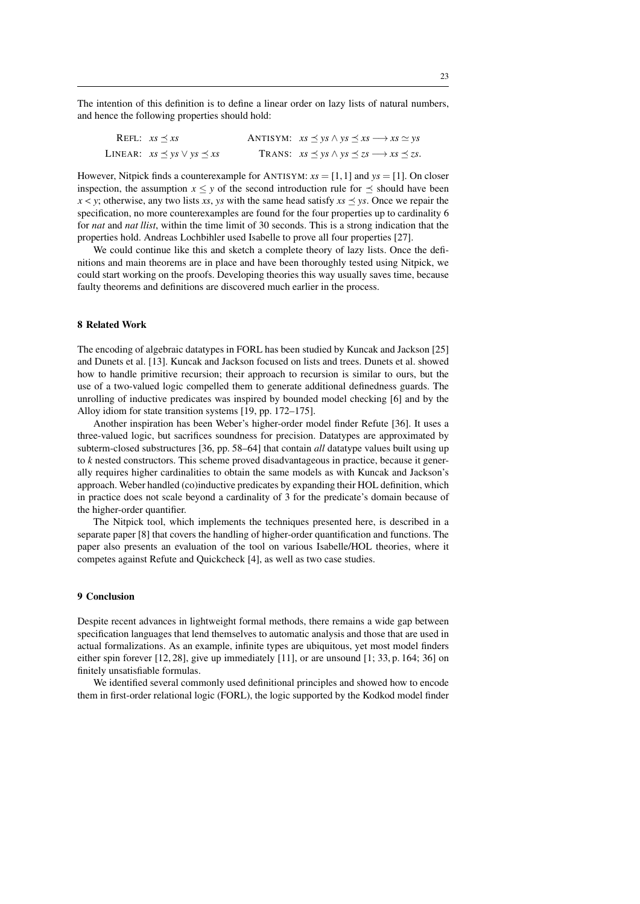The intention of this definition is to define a linear order on lazy lists of natural numbers, and hence the following properties should hold:

REFL:  $xs \le xs$  ANTISYM:  $xs \le ys \land ys \le xs \longrightarrow xs \simeq ys$ LINEAR:  $xs \leq ys \vee ys \leq xs$  TRANS:  $xs \leq ys \wedge ys \leq zs \longrightarrow xs \leq zs$ .

However, Nitpick finds a counterexample for ANTISYM:  $xs = [1, 1]$  and  $ys = [1]$ . On closer inspection, the assumption  $x \le y$  of the second introduction rule for  $\preceq$  should have been  $x < y$ ; otherwise, any two lists *xs*, *ys* with the same head satisfy  $xs \leq ys$ . Once we repair the specification, no more counterexamples are found for the four properties up to cardinality 6 for *nat* and *nat llist*, within the time limit of 30 seconds. This is a strong indication that the properties hold. Andreas Lochbihler used Isabelle to prove all four properties [27].

We could continue like this and sketch a complete theory of lazy lists. Once the definitions and main theorems are in place and have been thoroughly tested using Nitpick, we could start working on the proofs. Developing theories this way usually saves time, because faulty theorems and definitions are discovered much earlier in the process.

#### 8 Related Work

The encoding of algebraic datatypes in FORL has been studied by Kuncak and Jackson [25] and Dunets et al. [13]. Kuncak and Jackson focused on lists and trees. Dunets et al. showed how to handle primitive recursion; their approach to recursion is similar to ours, but the use of a two-valued logic compelled them to generate additional definedness guards. The unrolling of inductive predicates was inspired by bounded model checking [6] and by the Alloy idiom for state transition systems [19, pp. 172–175].

Another inspiration has been Weber's higher-order model finder Refute [36]. It uses a three-valued logic, but sacrifices soundness for precision. Datatypes are approximated by subterm-closed substructures [36, pp. 58–64] that contain *all* datatype values built using up to *k* nested constructors. This scheme proved disadvantageous in practice, because it generally requires higher cardinalities to obtain the same models as with Kuncak and Jackson's approach. Weber handled (co)inductive predicates by expanding their HOL definition, which in practice does not scale beyond a cardinality of 3 for the predicate's domain because of the higher-order quantifier.

The Nitpick tool, which implements the techniques presented here, is described in a separate paper [8] that covers the handling of higher-order quantification and functions. The paper also presents an evaluation of the tool on various Isabelle/HOL theories, where it competes against Refute and Quickcheck [4], as well as two case studies.

### 9 Conclusion

Despite recent advances in lightweight formal methods, there remains a wide gap between specification languages that lend themselves to automatic analysis and those that are used in actual formalizations. As an example, infinite types are ubiquitous, yet most model finders either spin forever  $[12, 28]$ , give up immediately  $[11]$ , or are unsound  $[1; 33, p. 164; 36]$  on finitely unsatisfiable formulas.

We identified several commonly used definitional principles and showed how to encode them in first-order relational logic (FORL), the logic supported by the Kodkod model finder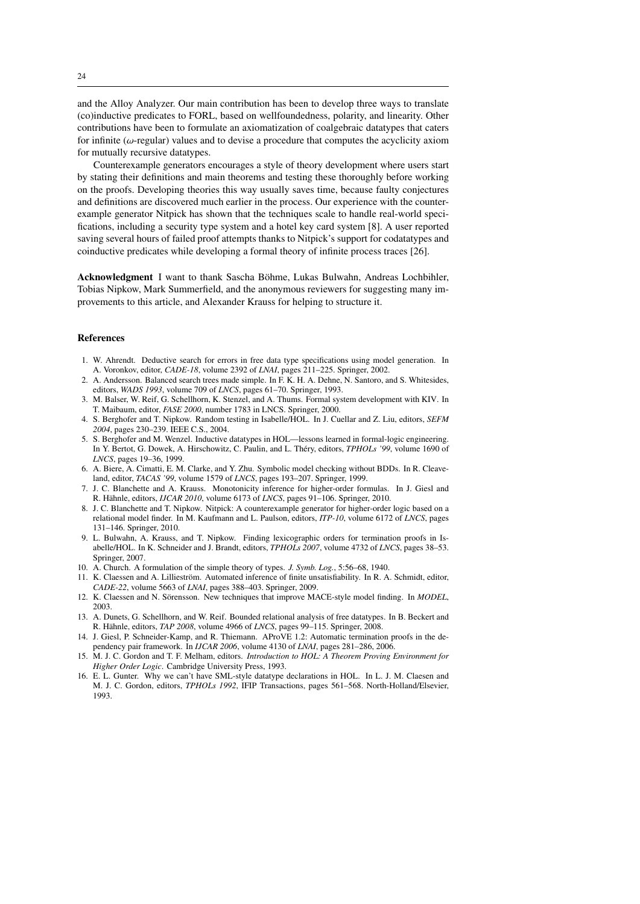and the Alloy Analyzer. Our main contribution has been to develop three ways to translate (co)inductive predicates to FORL, based on wellfoundedness, polarity, and linearity. Other contributions have been to formulate an axiomatization of coalgebraic datatypes that caters for infinite ( $\omega$ -regular) values and to devise a procedure that computes the acyclicity axiom for mutually recursive datatypes.

Counterexample generators encourages a style of theory development where users start by stating their definitions and main theorems and testing these thoroughly before working on the proofs. Developing theories this way usually saves time, because faulty conjectures and definitions are discovered much earlier in the process. Our experience with the counterexample generator Nitpick has shown that the techniques scale to handle real-world specifications, including a security type system and a hotel key card system [8]. A user reported saving several hours of failed proof attempts thanks to Nitpick's support for codatatypes and coinductive predicates while developing a formal theory of infinite process traces [26].

Acknowledgment I want to thank Sascha Böhme, Lukas Bulwahn, Andreas Lochbihler, Tobias Nipkow, Mark Summerfield, and the anonymous reviewers for suggesting many improvements to this article, and Alexander Krauss for helping to structure it.

## References

- 1. W. Ahrendt. Deductive search for errors in free data type specifications using model generation. In A. Voronkov, editor, *CADE-18*, volume 2392 of *LNAI*, pages 211–225. Springer, 2002.
- 2. A. Andersson. Balanced search trees made simple. In F. K. H. A. Dehne, N. Santoro, and S. Whitesides, editors, *WADS 1993*, volume 709 of *LNCS*, pages 61–70. Springer, 1993.
- 3. M. Balser, W. Reif, G. Schellhorn, K. Stenzel, and A. Thums. Formal system development with KIV. In T. Maibaum, editor, *FASE 2000*, number 1783 in LNCS. Springer, 2000.
- 4. S. Berghofer and T. Nipkow. Random testing in Isabelle/HOL. In J. Cuellar and Z. Liu, editors, *SEFM 2004*, pages 230–239. IEEE C.S., 2004.
- 5. S. Berghofer and M. Wenzel. Inductive datatypes in HOL—lessons learned in formal-logic engineering. In Y. Bertot, G. Dowek, A. Hirschowitz, C. Paulin, and L. Théry, editors, *TPHOLs '99*, volume 1690 of *LNCS*, pages 19–36, 1999.
- 6. A. Biere, A. Cimatti, E. M. Clarke, and Y. Zhu. Symbolic model checking without BDDs. In R. Cleaveland, editor, *TACAS '99*, volume 1579 of *LNCS*, pages 193–207. Springer, 1999.
- 7. J. C. Blanchette and A. Krauss. Monotonicity inference for higher-order formulas. In J. Giesl and R. Hähnle, editors, *IJCAR 2010*, volume 6173 of *LNCS*, pages 91–106. Springer, 2010.
- 8. J. C. Blanchette and T. Nipkow. Nitpick: A counterexample generator for higher-order logic based on a relational model finder. In M. Kaufmann and L. Paulson, editors, *ITP-10*, volume 6172 of *LNCS*, pages 131–146. Springer, 2010.
- 9. L. Bulwahn, A. Krauss, and T. Nipkow. Finding lexicographic orders for termination proofs in Isabelle/HOL. In K. Schneider and J. Brandt, editors, *TPHOLs 2007*, volume 4732 of *LNCS*, pages 38–53. Springer, 2007.
- 10. A. Church. A formulation of the simple theory of types. *J. Symb. Log.*, 5:56–68, 1940.
- 11. K. Claessen and A. Lillieström. Automated inference of finite unsatisfiability. In R. A. Schmidt, editor, *CADE-22*, volume 5663 of *LNAI*, pages 388–403. Springer, 2009.
- 12. K. Claessen and N. Sörensson. New techniques that improve MACE-style model finding. In *MODEL*, 2003.
- 13. A. Dunets, G. Schellhorn, and W. Reif. Bounded relational analysis of free datatypes. In B. Beckert and R. Hähnle, editors, *TAP 2008*, volume 4966 of *LNCS*, pages 99–115. Springer, 2008.
- 14. J. Giesl, P. Schneider-Kamp, and R. Thiemann. AProVE 1.2: Automatic termination proofs in the dependency pair framework. In *IJCAR 2006*, volume 4130 of *LNAI*, pages 281–286, 2006.
- 15. M. J. C. Gordon and T. F. Melham, editors. *Introduction to HOL: A Theorem Proving Environment for Higher Order Logic*. Cambridge University Press, 1993.
- 16. E. L. Gunter. Why we can't have SML-style datatype declarations in HOL. In L. J. M. Claesen and M. J. C. Gordon, editors, *TPHOLs 1992*, IFIP Transactions, pages 561–568. North-Holland/Elsevier, 1993.